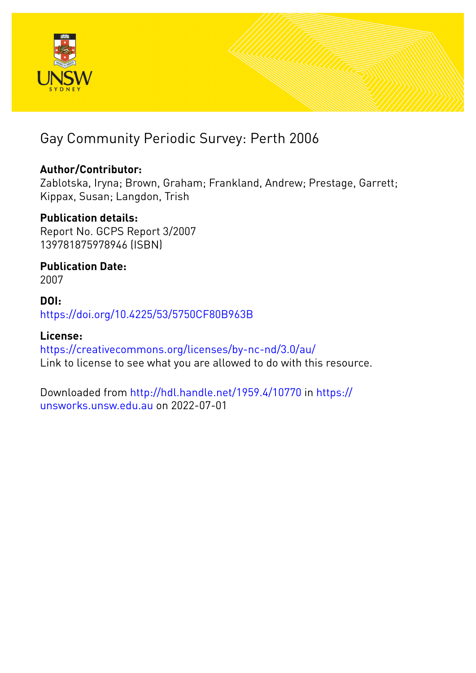

## Gay Community Periodic Survey: Perth 2006

## **Author/Contributor:**

Zablotska, Iryna; Brown, Graham; Frankland, Andrew; Prestage, Garrett; Kippax, Susan; Langdon, Trish

## **Publication details:**

Report No. GCPS Report 3/2007 139781875978946 (ISBN)

**Publication Date:** 2007

## **DOI:** [https://doi.org/10.4225/53/5750CF80B963B](http://dx.doi.org/https://doi.org/10.4225/53/5750CF80B963B)

## **License:**

<https://creativecommons.org/licenses/by-nc-nd/3.0/au/> Link to license to see what you are allowed to do with this resource.

Downloaded from <http://hdl.handle.net/1959.4/10770> in [https://](https://unsworks.unsw.edu.au) [unsworks.unsw.edu.au](https://unsworks.unsw.edu.au) on 2022-07-01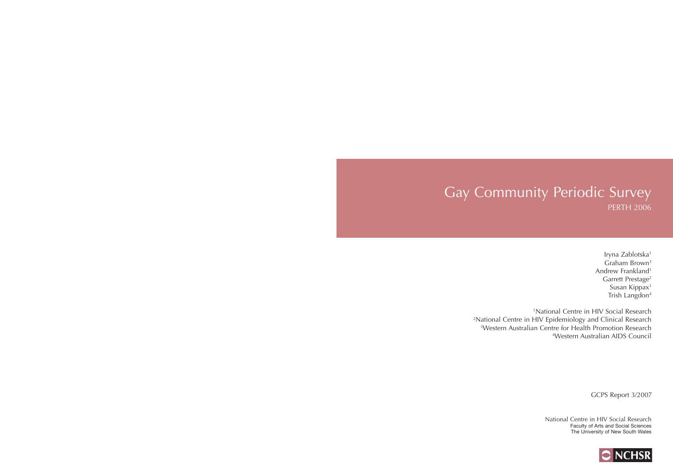## Gay Community Periodic Survey PERTH 2006

Iryna Zablotska<sup>1</sup> Graham Brown3 Andrew Frankland<sup>1</sup> Garrett Prestage<sup>2</sup> Susan Kippax<sup>1</sup> Trish Langdon4

1National Centre in HIV Social Research 2National Centre in HIV Epidemiology and Clinical Research 3Western Australian Centre for Health Promotion Research 4Western Australian AIDS Council

GCPS Report 3/2007

National Centre in HIV Social Research Faculty of Arts and Social Sciences The University of New South Wales

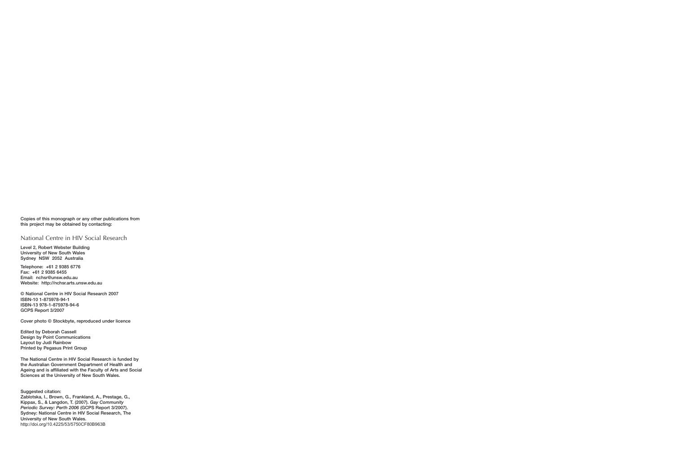**Copies of this monograph or any other publications from this project may be obtained by contacting:**

#### National Centre in HIV Social Research

**Level 2, Robert Webster BuildingUniversity of New South WalesSydney NSW 2052 Australia**

**Telephone: +61 2 9385 6776Fax: +61 2 9385 6455 Email: nchsr@unsw.edu.auWebsite: http://nchsr.arts.unsw.edu.au**

**© National Centre in HIV Social Research 2007ISBN-10 1-875978-94-1 ISBN-13 978-1-875978-94-6GCPS Report 3/2007**

**Cover photo © Stockbyte, reproduced under licence**

**Edited by Deborah Cassell Design by Point CommunicationsLayout by Judi RainbowPrinted by Pegasus Print Group**

**The National Centre in HIV Social Research is funded by the Australian Government Department of Health and Ageing and is affiliated with the Faculty of Arts and Social Sciences at the University of New South Wales.**

**Suggested citation:Zablotska, I., Brown, G., Frankland, A., Prestage, G.,** 

**Kippax, S., & Langdon, T. (2007).** *Gay Community Periodic Survey: Perth 2006* **(GCPS Report 3/2007). Sydney: National Centre in HIV Social Research, The University of New South Wales.**

http://doi.org/10.4225/53/5750CF80B963B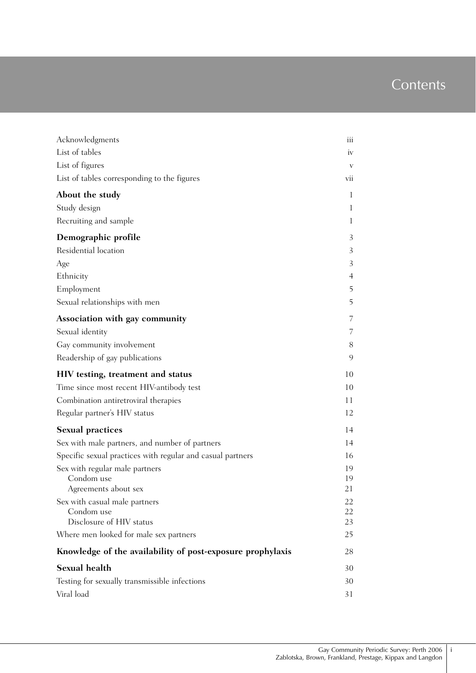## **Contents**

| Acknowledgments                                            | iii          |
|------------------------------------------------------------|--------------|
| List of tables                                             | iv           |
| List of figures                                            | V            |
| List of tables corresponding to the figures                | vii          |
|                                                            |              |
| About the study                                            | $\mathbf{I}$ |
| Study design                                               | 1            |
| Recruiting and sample                                      | 1            |
| Demographic profile                                        | 3            |
| Residential location                                       | 3            |
| Age                                                        | 3            |
| Ethnicity                                                  | 4            |
| Employment                                                 | 5            |
| Sexual relationships with men                              | 5            |
| Association with gay community                             | 7            |
| Sexual identity                                            | 7            |
| Gay community involvement                                  | 8            |
| Readership of gay publications                             | 9            |
| HIV testing, treatment and status                          | 10           |
| Time since most recent HIV-antibody test                   | 10           |
| Combination antiretroviral therapies                       | 11           |
| Regular partner's HIV status                               | 12           |
| <b>Sexual practices</b>                                    | 14           |
| Sex with male partners, and number of partners             | 14           |
| Specific sexual practices with regular and casual partners | 16           |
| Sex with regular male partners                             | 19           |
| Condom use                                                 | 19           |
| Agreements about sex                                       | 21           |
| Sex with casual male partners<br>Condom use                | 22<br>22     |
| Disclosure of HIV status                                   | 23           |
| Where men looked for male sex partners                     | 25           |
| Knowledge of the availability of post-exposure prophylaxis | 28           |
| <b>Sexual health</b>                                       | 30           |
| Testing for sexually transmissible infections              | 30           |
| Viral load                                                 | 31           |

i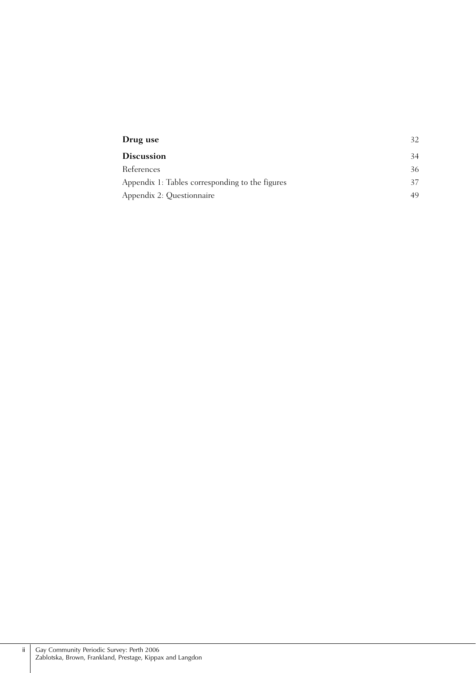| Drug use                                        | 32. |
|-------------------------------------------------|-----|
| <b>Discussion</b>                               | 34  |
| References                                      | 36  |
| Appendix 1: Tables corresponding to the figures | 37  |
| Appendix 2: Questionnaire                       | 49  |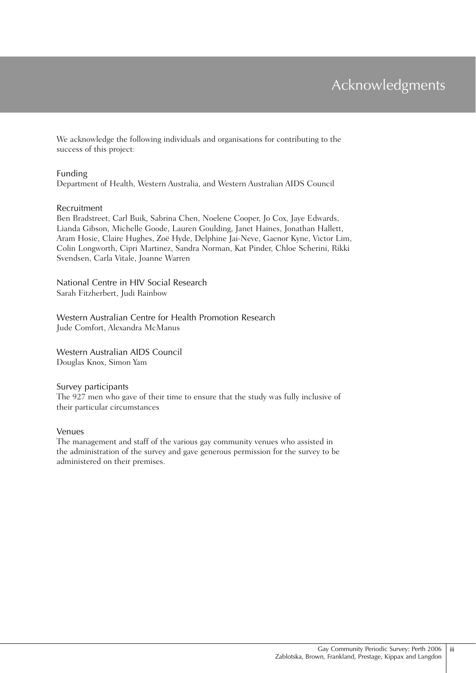## Acknowledgments

We acknowledge the following individuals and organisations for contributing to the success of this project:

#### Funding

Department of Health, Western Australia, and Western Australian AIDS Council

#### Recruitment

Ben Bradstreet, Carl Buik, Sabrina Chen, Noelene Cooper, Jo Cox, Jaye Edwards, Lianda Gibson, Michelle Goode, Lauren Goulding, Janet Haines, Jonathan Hallett, Aram Hosie, Claire Hughes, Zoë Hyde, Delphine Jai-Neve, Gaenor Kyne, Victor Lim, Colin Longworth, Cipri Martinez, Sandra Norman, Kat Pinder, Chloe Scherini, Rikki Svendsen, Carla Vitale, Joanne Warren

National Centre in HIV Social Research Sarah Fitzherbert, Judi Rainbow

Western Australian Centre for Health Promotion Research Jude Comfort, Alexandra McManus

Western Australian AIDS Council Douglas Knox, Simon Yam

#### Survey participants

The 927 men who gave of their time to ensure that the study was fully inclusive of their particular circumstances

#### Venues

The management and staff of the various gay community venues who assisted in the administration of the survey and gave generous permission for the survey to be administered on their premises.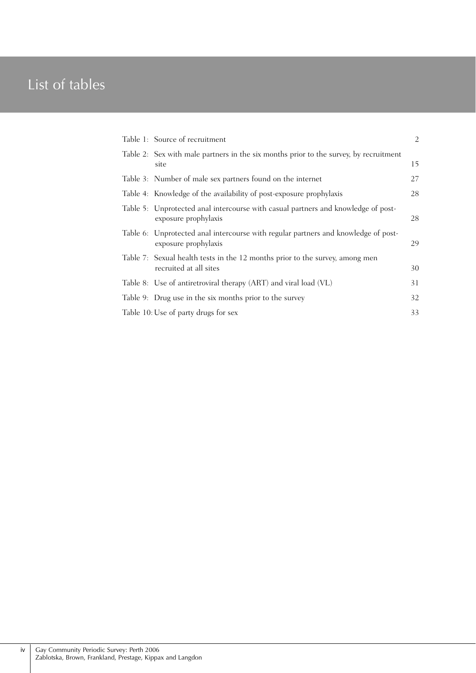## List of tables

| Table 1: Source of recruitment                                                                             | $\overline{2}$ |
|------------------------------------------------------------------------------------------------------------|----------------|
| Table 2: Sex with male partners in the six months prior to the survey, by recruitment<br>site              | 15             |
| Table 3: Number of male sex partners found on the internet                                                 | 27             |
| Table 4: Knowledge of the availability of post-exposure prophylaxis                                        | 28             |
| Table 5: Unprotected anal intercourse with casual partners and knowledge of post-<br>exposure prophylaxis  | 28             |
| Table 6: Unprotected anal intercourse with regular partners and knowledge of post-<br>exposure prophylaxis | 29             |
| Table 7: Sexual health tests in the 12 months prior to the survey, among men<br>recruited at all sites     | 30             |
| Table 8: Use of antiretroviral therapy (ART) and viral load (VL)                                           | 31             |
| Table 9: Drug use in the six months prior to the survey                                                    | 32             |
| Table 10: Use of party drugs for sex                                                                       | 33             |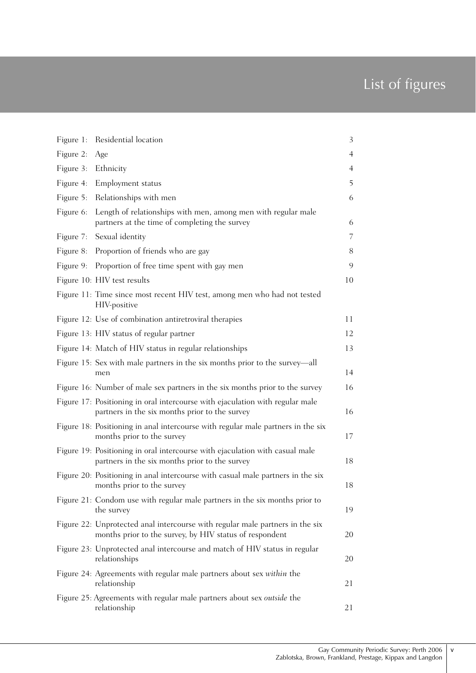## List of figures

|           | Figure 1: Residential location                                                                                                           | 3  |
|-----------|------------------------------------------------------------------------------------------------------------------------------------------|----|
| Figure 2: | Age                                                                                                                                      | 4  |
| Figure 3: | Ethnicity                                                                                                                                | 4  |
| Figure 4: | <b>Employment</b> status                                                                                                                 | 5  |
| Figure 5: | Relationships with men                                                                                                                   | 6  |
| Figure 6: | Length of relationships with men, among men with regular male<br>partners at the time of completing the survey                           | 6  |
| Figure 7: | Sexual identity                                                                                                                          | 7  |
| Figure 8: | Proportion of friends who are gay                                                                                                        | 8  |
| Figure 9: | Proportion of free time spent with gay men                                                                                               | 9  |
|           | Figure 10: HIV test results                                                                                                              | 10 |
|           | Figure 11: Time since most recent HIV test, among men who had not tested<br>HIV-positive                                                 |    |
|           | Figure 12: Use of combination antiretroviral therapies                                                                                   | 11 |
|           | Figure 13: HIV status of regular partner                                                                                                 | 12 |
|           | Figure 14: Match of HIV status in regular relationships                                                                                  | 13 |
|           | Figure 15: Sex with male partners in the six months prior to the survey—all<br>men                                                       | 14 |
|           | Figure 16: Number of male sex partners in the six months prior to the survey                                                             | 16 |
|           | Figure 17: Positioning in oral intercourse with ejaculation with regular male<br>partners in the six months prior to the survey          | 16 |
|           | Figure 18: Positioning in anal intercourse with regular male partners in the six<br>months prior to the survey                           | 17 |
|           | Figure 19: Positioning in oral intercourse with ejaculation with casual male<br>partners in the six months prior to the survey           | 18 |
|           | Figure 20: Positioning in anal intercourse with casual male partners in the six<br>months prior to the survey                            | 18 |
|           | Figure 21: Condom use with regular male partners in the six months prior to<br>the survey                                                | 19 |
|           | Figure 22: Unprotected anal intercourse with regular male partners in the six<br>months prior to the survey, by HIV status of respondent | 20 |
|           | Figure 23: Unprotected anal intercourse and match of HIV status in regular<br>relationships                                              | 20 |
|           | Figure 24: Agreements with regular male partners about sex within the<br>relationship                                                    | 21 |
|           | Figure 25: Agreements with regular male partners about sex outside the<br>relationship                                                   | 21 |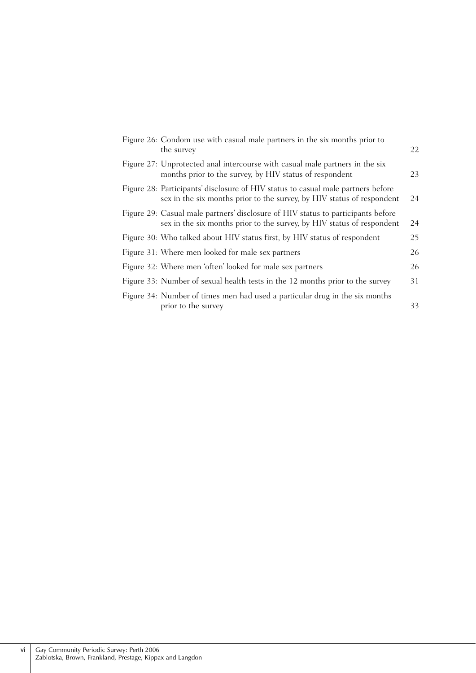|  | Figure 26: Condom use with casual male partners in the six months prior to<br>the survey                                                                   | 22 |
|--|------------------------------------------------------------------------------------------------------------------------------------------------------------|----|
|  | Figure 27: Unprotected anal intercourse with casual male partners in the six<br>months prior to the survey, by HIV status of respondent                    | 23 |
|  | Figure 28: Participants' disclosure of HIV status to casual male partners before<br>sex in the six months prior to the survey, by HIV status of respondent | 24 |
|  | Figure 29: Casual male partners' disclosure of HIV status to participants before<br>sex in the six months prior to the survey, by HIV status of respondent | 24 |
|  | Figure 30: Who talked about HIV status first, by HIV status of respondent                                                                                  | 25 |
|  | Figure 31: Where men looked for male sex partners                                                                                                          | 26 |
|  | Figure 32: Where men 'often' looked for male sex partners                                                                                                  | 26 |
|  | Figure 33: Number of sexual health tests in the 12 months prior to the survey                                                                              | 31 |
|  | Figure 34: Number of times men had used a particular drug in the six months<br>prior to the survey                                                         | 33 |
|  |                                                                                                                                                            |    |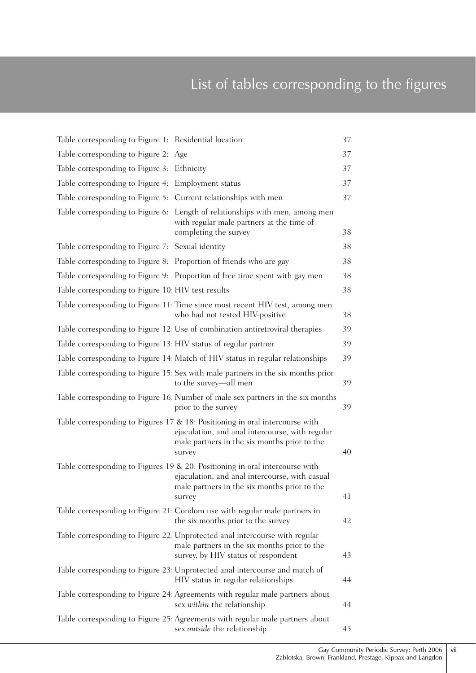## List of tables corresponding to the figures

| Table corresponding to Figure 1: Residential location                                                                                                                                        | 37 |
|----------------------------------------------------------------------------------------------------------------------------------------------------------------------------------------------|----|
| Table corresponding to Figure 2: Age                                                                                                                                                         | 37 |
| Table corresponding to Figure 3: Ethnicity                                                                                                                                                   | 37 |
| Table corresponding to Figure 4: Employment status                                                                                                                                           | 37 |
| Table corresponding to Figure 5: Current relationships with men                                                                                                                              | 37 |
| Table corresponding to Figure 6: Length of relationships with men, among men<br>with regular male partners at the time of<br>completing the survey                                           | 38 |
| Table corresponding to Figure 7: Sexual identity                                                                                                                                             | 38 |
| Table corresponding to Figure 8: Proportion of friends who are gay                                                                                                                           | 38 |
| Table corresponding to Figure 9: Proportion of free time spent with gay men                                                                                                                  | 38 |
| Table corresponding to Figure 10: HIV test results                                                                                                                                           | 38 |
| Table corresponding to Figure 11: Time since most recent HIV test, among men<br>who had not tested HIV-positive                                                                              | 38 |
| Table corresponding to Figure 12: Use of combination antiretroviral therapies                                                                                                                | 39 |
| Table corresponding to Figure 13: HIV status of regular partner                                                                                                                              | 39 |
| Table corresponding to Figure 14: Match of HIV status in regular relationships                                                                                                               | 39 |
| Table corresponding to Figure 15: Sex with male partners in the six months prior<br>to the survey-all men                                                                                    | 39 |
| Table corresponding to Figure 16: Number of male sex partners in the six months<br>prior to the survey                                                                                       | 39 |
| Table corresponding to Figures $17 & 18$ : Positioning in oral intercourse with<br>ejaculation, and anal intercourse, with regular<br>male partners in the six months prior to the<br>survey | 40 |
| Table corresponding to Figures 19 & 20: Positioning in oral intercourse with<br>ejaculation, and anal intercourse, with casual<br>male partners in the six months prior to the<br>survey     | 41 |
| Table corresponding to Figure 21: Condom use with regular male partners in<br>the six months prior to the survey                                                                             | 42 |
| Table corresponding to Figure 22: Unprotected anal intercourse with regular<br>male partners in the six months prior to the<br>survey, by HIV status of respondent                           | 43 |
| Table corresponding to Figure 23: Unprotected anal intercourse and match of<br>HIV status in regular relationships                                                                           | 44 |
| Table corresponding to Figure 24: Agreements with regular male partners about<br>sex within the relationship                                                                                 | 44 |
| Table corresponding to Figure 25: Agreements with regular male partners about<br>sex outside the relationship                                                                                | 45 |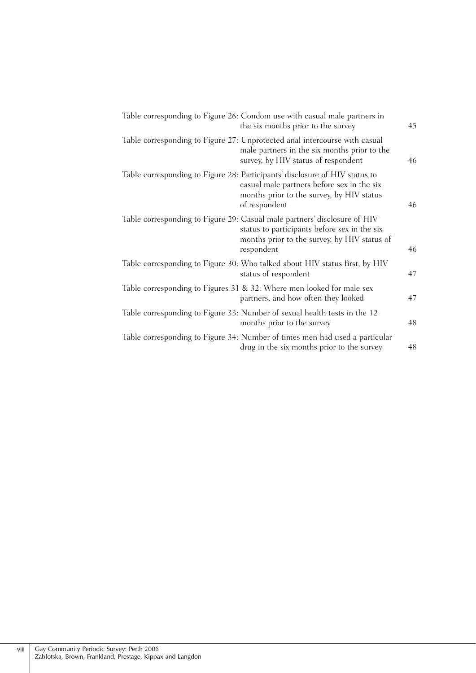| Table corresponding to Figure 26: Condom use with casual male partners in                    | the six months prior to the survey<br>45                                                           |
|----------------------------------------------------------------------------------------------|----------------------------------------------------------------------------------------------------|
| Table corresponding to Figure 27: Unprotected anal intercourse with casual                   | male partners in the six months prior to the<br>survey, by HIV status of respondent<br>46          |
| Table corresponding to Figure 28: Participants' disclosure of HIV status to<br>of respondent | casual male partners before sex in the six<br>months prior to the survey, by HIV status<br>46      |
| Table corresponding to Figure 29: Casual male partners' disclosure of HIV<br>respondent      | status to participants before sex in the six<br>months prior to the survey, by HIV status of<br>46 |
| Table corresponding to Figure 30: Who talked about HIV status first, by HIV                  | 47<br>status of respondent                                                                         |
| Table corresponding to Figures 31 & 32: Where men looked for male sex                        | partners, and how often they looked<br>47                                                          |
| Table corresponding to Figure 33: Number of sexual health tests in the 12                    | 48<br>months prior to the survey                                                                   |
| Table corresponding to Figure 34: Number of times men had used a particular                  | drug in the six months prior to the survey<br>48                                                   |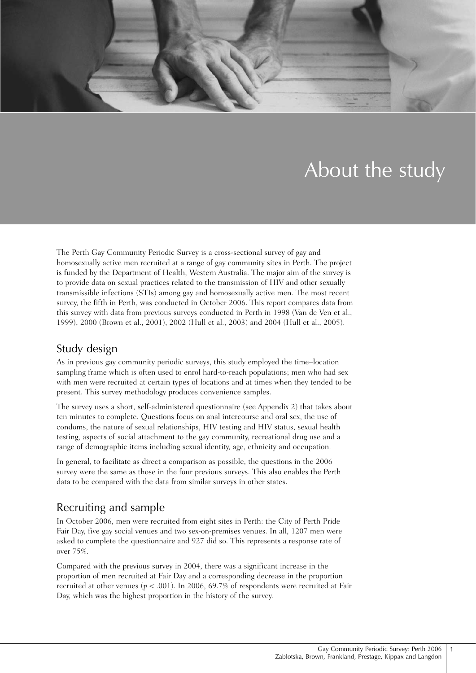

# About the study

The Perth Gay Community Periodic Survey is a cross-sectional survey of gay and homosexually active men recruited at a range of gay community sites in Perth. The project is funded by the Department of Health, Western Australia. The major aim of the survey is to provide data on sexual practices related to the transmission of HIV and other sexually transmissible infections (STIs) among gay and homosexually active men. The most recent survey, the fifth in Perth, was conducted in October 2006. This report compares data from this survey with data from previous surveys conducted in Perth in 1998 (Van de Ven et al., 1999), 2000 (Brown et al., 2001), 2002 (Hull et al., 2003) and 2004 (Hull et al., 2005).

## Study design

As in previous gay community periodic surveys, this study employed the time–location sampling frame which is often used to enrol hard-to-reach populations; men who had sex with men were recruited at certain types of locations and at times when they tended to be present. This survey methodology produces convenience samples.

The survey uses a short, self-administered questionnaire (see Appendix 2) that takes about ten minutes to complete. Questions focus on anal intercourse and oral sex, the use of condoms, the nature of sexual relationships, HIV testing and HIV status, sexual health testing, aspects of social attachment to the gay community, recreational drug use and a range of demographic items including sexual identity, age, ethnicity and occupation.

In general, to facilitate as direct a comparison as possible, the questions in the 2006 survey were the same as those in the four previous surveys. This also enables the Perth data to be compared with the data from similar surveys in other states.

## Recruiting and sample

In October 2006, men were recruited from eight sites in Perth: the City of Perth Pride Fair Day, five gay social venues and two sex-on-premises venues. In all, 1207 men were asked to complete the questionnaire and 927 did so. This represents a response rate of over 75%.

Compared with the previous survey in 2004, there was a significant increase in the proportion of men recruited at Fair Day and a corresponding decrease in the proportion recruited at other venues ( $p < .001$ ). In 2006, 69.7% of respondents were recruited at Fair Day, which was the highest proportion in the history of the survey.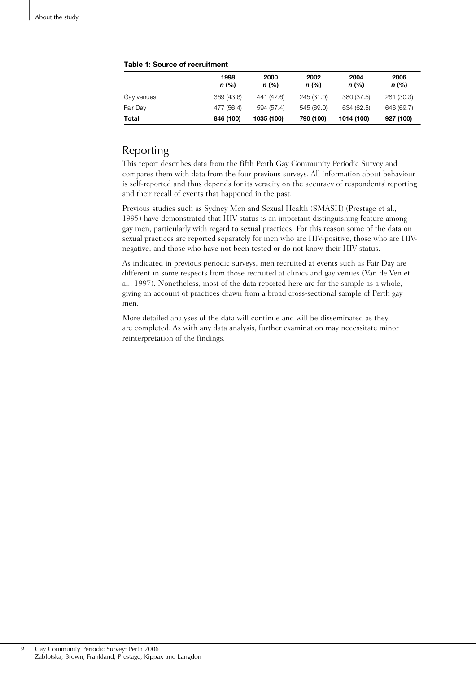|            | 1998<br>$n$ (%) | 2000<br>$n$ (%) | 2002<br>$n$ (%) | 2004<br>$n$ (%) | 2006<br>$n$ (%) |
|------------|-----------------|-----------------|-----------------|-----------------|-----------------|
| Gay venues | 369 (43.6)      | 441 (42.6)      | 245 (31.0)      | 380 (37.5)      | 281 (30.3)      |
| Fair Day   | 477 (56.4)      | 594 (57.4)      | 545 (69.0)      | 634 (62.5)      | 646 (69.7)      |
| Total      | 846 (100)       | 1035 (100)      | 790 (100)       | 1014 (100)      | 927 (100)       |

#### **Table 1: Source of recruitment**

## Reporting

This report describes data from the fifth Perth Gay Community Periodic Survey and compares them with data from the four previous surveys. All information about behaviour is self-reported and thus depends for its veracity on the accuracy of respondents' reporting and their recall of events that happened in the past.

Previous studies such as Sydney Men and Sexual Health (SMASH) (Prestage et al., 1995) have demonstrated that HIV status is an important distinguishing feature among gay men, particularly with regard to sexual practices. For this reason some of the data on sexual practices are reported separately for men who are HIV-positive, those who are HIVnegative, and those who have not been tested or do not know their HIV status.

As indicated in previous periodic surveys, men recruited at events such as Fair Day are different in some respects from those recruited at clinics and gay venues (Van de Ven et al., 1997). Nonetheless, most of the data reported here are for the sample as a whole, giving an account of practices drawn from a broad cross-sectional sample of Perth gay men.

More detailed analyses of the data will continue and will be disseminated as they are completed. As with any data analysis, further examination may necessitate minor reinterpretation of the findings.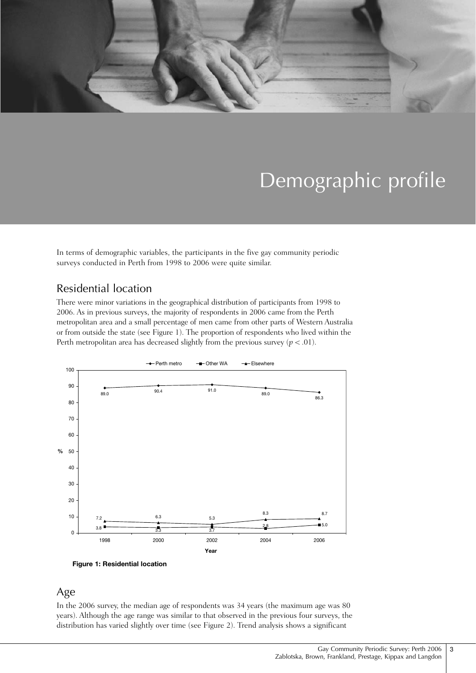

# Demographic profile

In terms of demographic variables, the participants in the five gay community periodic surveys conducted in Perth from 1998 to 2006 were quite similar.

## Residential location

There were minor variations in the geographical distribution of participants from 1998 to 2006. As in previous surveys, the majority of respondents in 2006 came from the Perth metropolitan area and a small percentage of men came from other parts of Western Australia or from outside the state (see Figure 1). The proportion of respondents who lived within the Perth metropolitan area has decreased slightly from the previous survey  $(p < .01)$ .



**Figure 1: Residential location**

### Age

In the 2006 survey, the median age of respondents was 34 years (the maximum age was 80 years). Although the age range was similar to that observed in the previous four surveys, the distribution has varied slightly over time (see Figure 2). Trend analysis shows a significant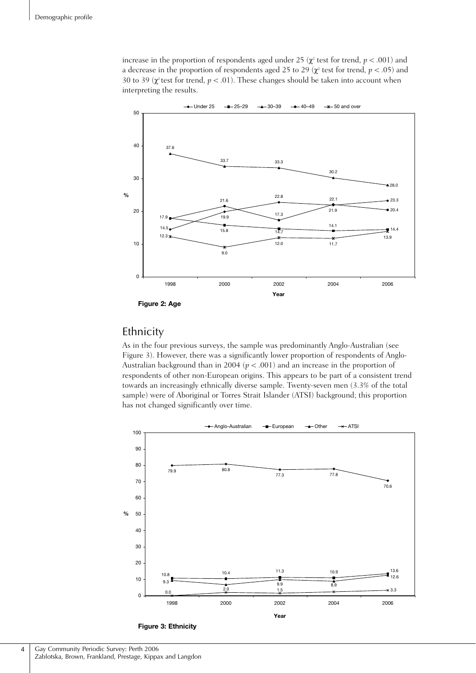increase in the proportion of respondents aged under 25 ( $\chi^2$  test for trend,  $p < .001$ ) and a decrease in the proportion of respondents aged 25 to 29 ( $\chi^2$  test for trend,  $p < .05$ ) and 30 to 39 ( $\chi^2$  test for trend,  $p < .01$ ). These changes should be taken into account when interpreting the results.



## Ethnicity

As in the four previous surveys, the sample was predominantly Anglo-Australian (see Figure 3). However, there was a significantly lower proportion of respondents of Anglo-Australian background than in 2004 ( $p < .001$ ) and an increase in the proportion of respondents of other non-European origins. This appears to be part of a consistent trend towards an increasingly ethnically diverse sample. Twenty-seven men (3.3% of the total sample) were of Aboriginal or Torres Strait Islander (ATSI) background; this proportion has not changed significantly over time.



**Figure 3: Ethnicity**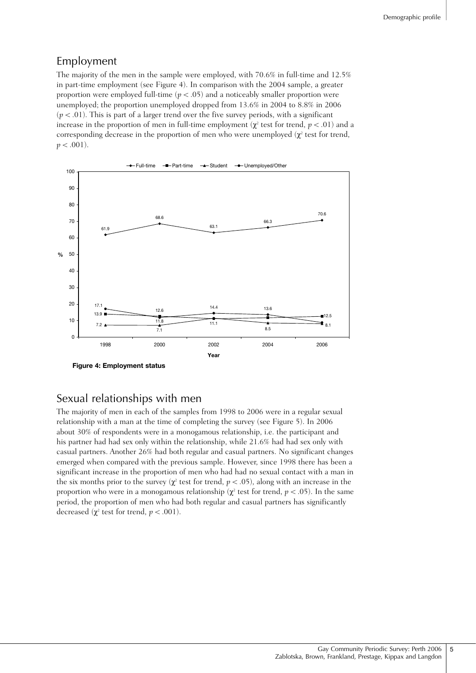### Employment

The majority of the men in the sample were employed, with 70.6% in full-time and 12.5% in part-time employment (see Figure 4). In comparison with the 2004 sample, a greater proportion were employed full-time  $(p < .05)$  and a noticeably smaller proportion were unemployed; the proportion unemployed dropped from 13.6% in 2004 to 8.8% in 2006  $(p < .01)$ . This is part of a larger trend over the five survey periods, with a significant increase in the proportion of men in full-time employment ( $\chi^2$  test for trend,  $p < .01$ ) and a corresponding decrease in the proportion of men who were unemployed  $(\chi^2)$  test for trend,  $p < .001$ ).



### Sexual relationships with men

The majority of men in each of the samples from 1998 to 2006 were in a regular sexual relationship with a man at the time of completing the survey (see Figure 5). In 2006 about 30% of respondents were in a monogamous relationship, i.e. the participant and his partner had had sex only within the relationship, while 21.6% had had sex only with casual partners. Another 26% had both regular and casual partners. No significant changes emerged when compared with the previous sample. However, since 1998 there has been a significant increase in the proportion of men who had had no sexual contact with a man in the six months prior to the survey ( $\chi^2$  test for trend,  $p < .05$ ), along with an increase in the proportion who were in a monogamous relationship ( $\chi^2$  test for trend,  $p < .05$ ). In the same period, the proportion of men who had both regular and casual partners has significantly decreased ( $\chi^2$  test for trend,  $p < .001$ ).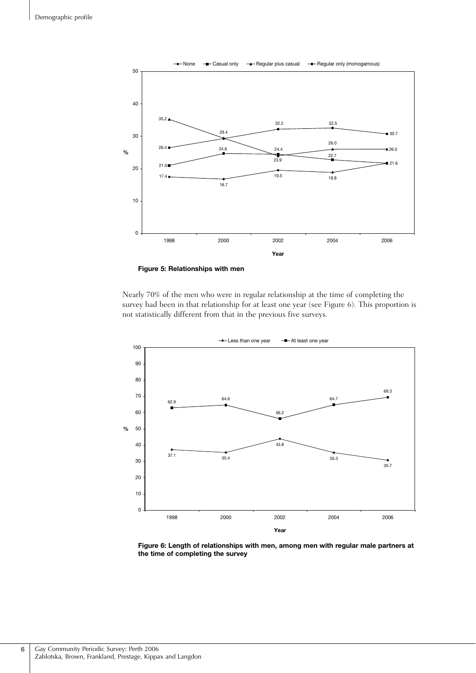

**Figure 5: Relationships with men**

Nearly 70% of the men who were in regular relationship at the time of completing the survey had been in that relationship for at least one year (see Figure 6). This proportion is not statistically different from that in the previous five surveys.



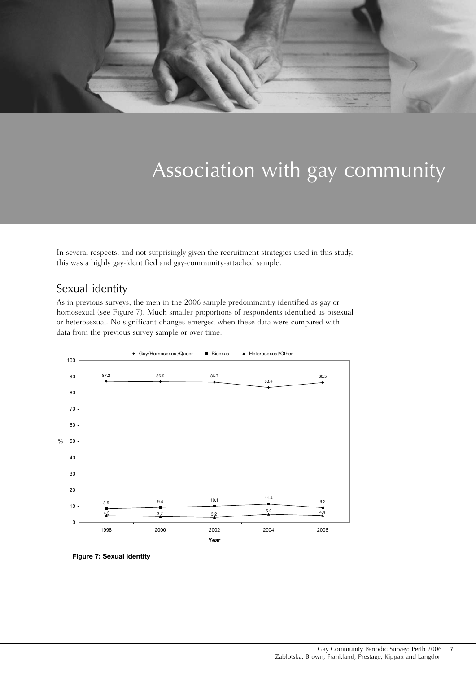

# Association with gay community

In several respects, and not surprisingly given the recruitment strategies used in this study, this was a highly gay-identified and gay-community-attached sample.

## Sexual identity

As in previous surveys, the men in the 2006 sample predominantly identified as gay or homosexual (see Figure 7). Much smaller proportions of respondents identified as bisexual or heterosexual. No significant changes emerged when these data were compared with data from the previous survey sample or over time.



**Figure 7: Sexual identity**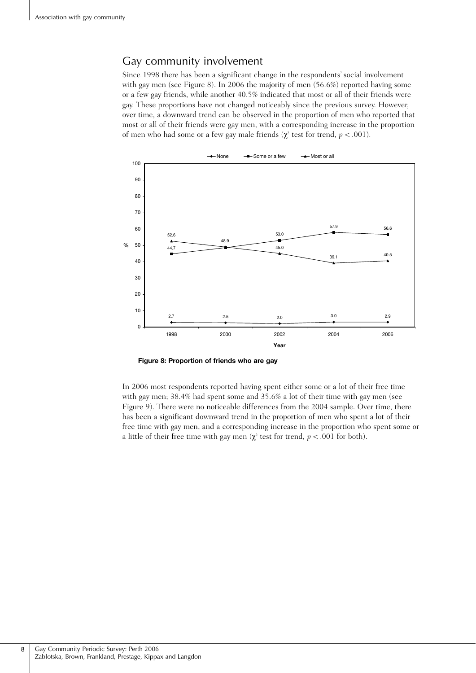## Gay community involvement

Since 1998 there has been a significant change in the respondents' social involvement with gay men (see Figure 8). In 2006 the majority of men (56.6%) reported having some or a few gay friends, while another 40.5% indicated that most or all of their friends were gay. These proportions have not changed noticeably since the previous survey. However, over time, a downward trend can be observed in the proportion of men who reported that most or all of their friends were gay men, with a corresponding increase in the proportion of men who had some or a few gay male friends ( $\chi^2$  test for trend,  $p < .001$ ).



**Figure 8: Proportion of friends who are gay**

In 2006 most respondents reported having spent either some or a lot of their free time with gay men; 38.4% had spent some and 35.6% a lot of their time with gay men (see Figure 9). There were no noticeable differences from the 2004 sample. Over time, there has been a significant downward trend in the proportion of men who spent a lot of their free time with gay men, and a corresponding increase in the proportion who spent some or a little of their free time with gay men ( $\chi^2$  test for trend,  $p < .001$  for both).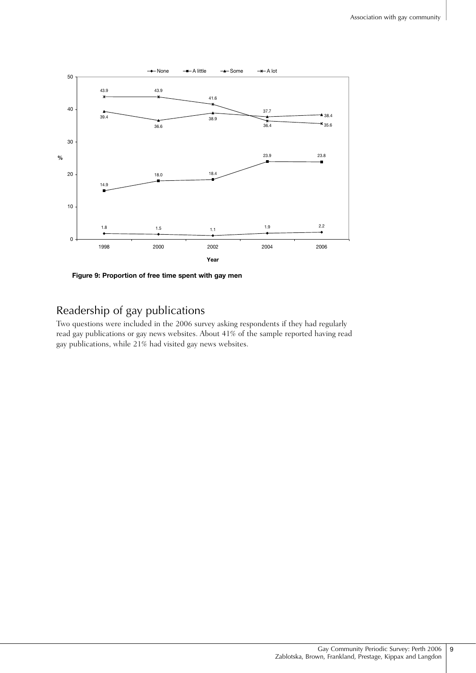

**Figure 9: Proportion of free time spent with gay men**

## Readership of gay publications

Two questions were included in the 2006 survey asking respondents if they had regularly read gay publications or gay news websites. About 41% of the sample reported having read gay publications, while 21% had visited gay news websites.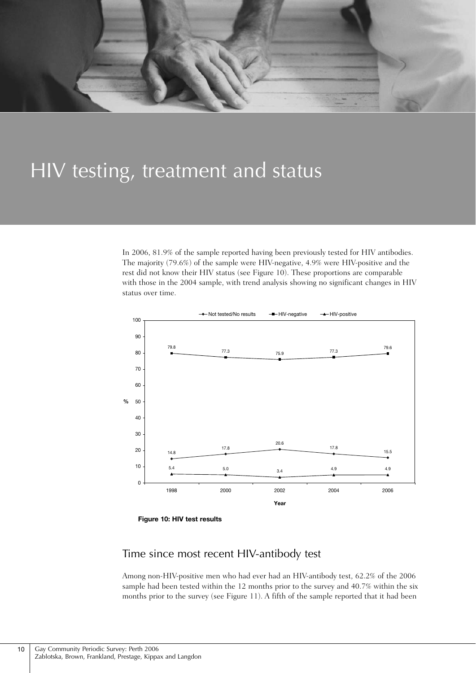

## HIV testing, treatment and status

In 2006, 81.9% of the sample reported having been previously tested for HIV antibodies. The majority (79.6%) of the sample were HIV-negative, 4.9% were HIV-positive and the rest did not know their HIV status (see Figure 10). These proportions are comparable with those in the 2004 sample, with trend analysis showing no significant changes in HIV status over time.



**Figure 10: HIV test results**

### Time since most recent HIV-antibody test

Among non-HIV-positive men who had ever had an HIV-antibody test, 62.2% of the 2006 sample had been tested within the 12 months prior to the survey and 40.7% within the six months prior to the survey (see Figure 11). A fifth of the sample reported that it had been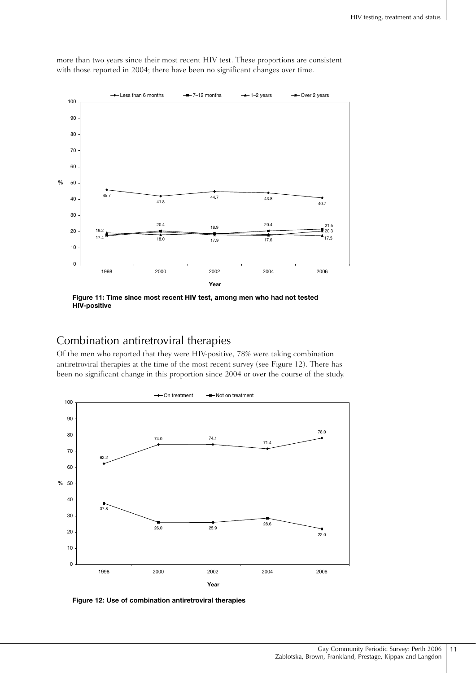

more than two years since their most recent HIV test. These proportions are consistent with those reported in 2004; there have been no significant changes over time.

**Figure 11: Time since most recent HIV test, among men who had not tested HIV-positive**

## Combination antiretroviral therapies

Of the men who reported that they were HIV-positive, 78% were taking combination antiretroviral therapies at the time of the most recent survey (see Figure 12). There has been no significant change in this proportion since 2004 or over the course of the study.



**Figure 12: Use of combination antiretroviral therapies**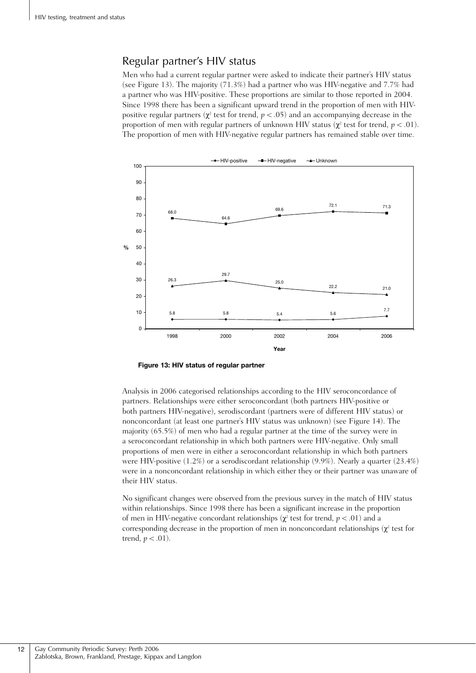### Regular partner's HIV status

Men who had a current regular partner were asked to indicate their partner's HIV status (see Figure 13). The majority (71.3%) had a partner who was HIV-negative and 7.7% had a partner who was HIV-positive. These proportions are similar to those reported in 2004. Since 1998 there has been a significant upward trend in the proportion of men with HIVpositive regular partners ( $\chi^2$  test for trend,  $p < .05$ ) and an accompanying decrease in the proportion of men with regular partners of unknown HIV status ( $\chi^2$  test for trend,  $p < .01$ ). The proportion of men with HIV-negative regular partners has remained stable over time.



**Figure 13: HIV status of regular partner**

Analysis in 2006 categorised relationships according to the HIV seroconcordance of partners. Relationships were either seroconcordant (both partners HIV-positive or both partners HIV-negative), serodiscordant (partners were of different HIV status) or nonconcordant (at least one partner's HIV status was unknown) (see Figure 14). The majority (65.5%) of men who had a regular partner at the time of the survey were in a seroconcordant relationship in which both partners were HIV-negative. Only small proportions of men were in either a seroconcordant relationship in which both partners were HIV-positive (1.2%) or a serodiscordant relationship (9.9%). Nearly a quarter (23.4%) were in a nonconcordant relationship in which either they or their partner was unaware of their HIV status.

No significant changes were observed from the previous survey in the match of HIV status within relationships. Since 1998 there has been a significant increase in the proportion of men in HIV-negative concordant relationships ( $\chi^2$  test for trend,  $p < .01$ ) and a corresponding decrease in the proportion of men in nonconcordant relationships ( $\chi^2$  test for trend,  $p < .01$ ).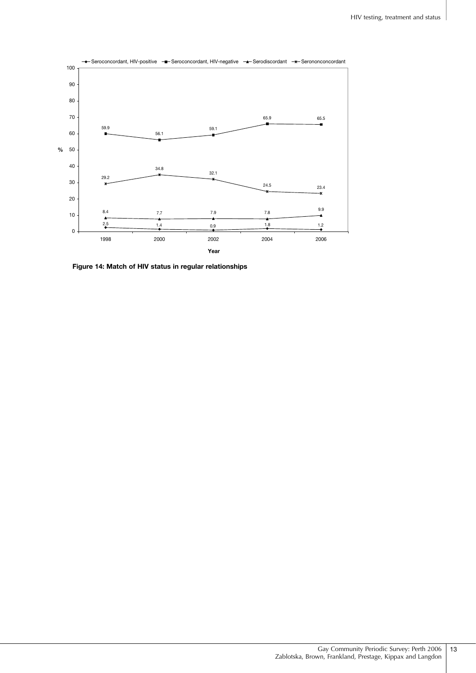

**Figure 14: Match of HIV status in regular relationships**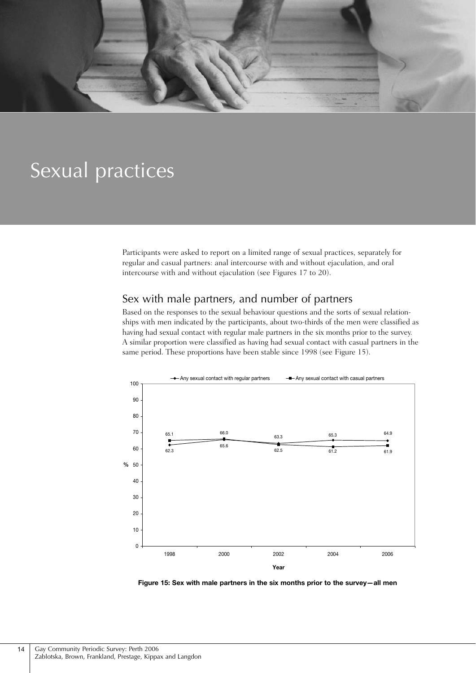

## Sexual practices

Participants were asked to report on a limited range of sexual practices, separately for regular and casual partners: anal intercourse with and without ejaculation, and oral intercourse with and without ejaculation (see Figures 17 to 20).

### Sex with male partners, and number of partners

Based on the responses to the sexual behaviour questions and the sorts of sexual relationships with men indicated by the participants, about two-thirds of the men were classified as having had sexual contact with regular male partners in the six months prior to the survey. A similar proportion were classified as having had sexual contact with casual partners in the same period. These proportions have been stable since 1998 (see Figure 15).



**Figure 15: Sex with male partners in the six months prior to the survey—all men**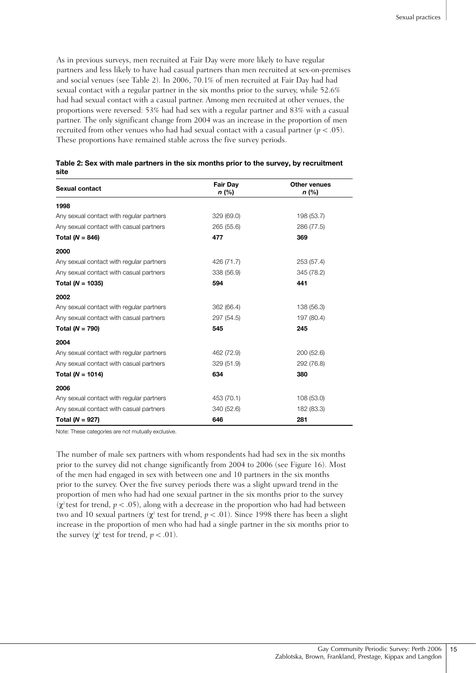As in previous surveys, men recruited at Fair Day were more likely to have regular partners and less likely to have had casual partners than men recruited at sex-on-premises and social venues (see Table 2). In 2006, 70.1% of men recruited at Fair Day had had sexual contact with a regular partner in the six months prior to the survey, while 52.6% had had sexual contact with a casual partner. Among men recruited at other venues, the proportions were reversed: 53% had had sex with a regular partner and 83% with a casual partner. The only significant change from 2004 was an increase in the proportion of men recruited from other venues who had had sexual contact with a casual partner ( $p < .05$ ). These proportions have remained stable across the five survey periods.

| <b>Sexual contact</b>                    | <b>Fair Day</b><br>n (%) | Other venues<br>n (%) |  |
|------------------------------------------|--------------------------|-----------------------|--|
| 1998                                     |                          |                       |  |
| Any sexual contact with regular partners | 329 (69.0)               | 198 (53.7)            |  |
| Any sexual contact with casual partners  | 265 (55.6)               | 286 (77.5)            |  |
| Total ( $N = 846$ )                      | 477                      | 369                   |  |
| 2000                                     |                          |                       |  |
| Any sexual contact with regular partners | 426 (71.7)               | 253 (57.4)            |  |
| Any sexual contact with casual partners  | 338 (56.9)               | 345 (78.2)            |  |
| Total ( $N = 1035$ )                     | 594                      | 441                   |  |
| 2002                                     |                          |                       |  |
| Any sexual contact with regular partners | 362 (66.4)               | 138 (56.3)            |  |
| Any sexual contact with casual partners  | 297 (54.5)               | 197 (80.4)            |  |
| Total ( $N = 790$ )                      | 545                      | 245                   |  |
| 2004                                     |                          |                       |  |
| Any sexual contact with regular partners | 462 (72.9)               | 200 (52.6)            |  |
| Any sexual contact with casual partners  | 329 (51.9)               | 292 (76.8)            |  |
| Total ( $N = 1014$ )                     | 634                      | 380                   |  |
| 2006                                     |                          |                       |  |
| Any sexual contact with regular partners | 453 (70.1)               | 108 (53.0)            |  |
| Any sexual contact with casual partners  | 340 (52.6)               | 182 (83.3)            |  |
| Total ( $N = 927$ )                      | 646                      | 281                   |  |

| Table 2: Sex with male partners in the six months prior to the survey, by recruitment |  |
|---------------------------------------------------------------------------------------|--|
| site                                                                                  |  |

Note: These categories are not mutually exclusive.

The number of male sex partners with whom respondents had had sex in the six months prior to the survey did not change significantly from 2004 to 2006 (see Figure 16). Most of the men had engaged in sex with between one and 10 partners in the six months prior to the survey. Over the five survey periods there was a slight upward trend in the proportion of men who had had one sexual partner in the six months prior to the survey ( $\chi^2$  test for trend,  $p < .05$ ), along with a decrease in the proportion who had had between two and 10 sexual partners ( $\chi^2$  test for trend,  $p < .01$ ). Since 1998 there has been a slight increase in the proportion of men who had had a single partner in the six months prior to the survey ( $\chi^2$  test for trend,  $p < .01$ ).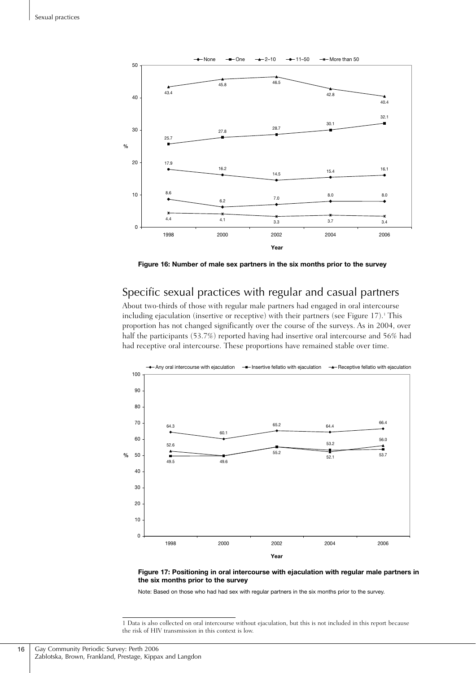

**Figure 16: Number of male sex partners in the six months prior to the survey**

## Specific sexual practices with regular and casual partners

About two-thirds of those with regular male partners had engaged in oral intercourse including ejaculation (insertive or receptive) with their partners (see Figure 17).<sup>1</sup> This proportion has not changed significantly over the course of the surveys. As in 2004, over half the participants (53.7%) reported having had insertive oral intercourse and 56% had had receptive oral intercourse. These proportions have remained stable over time.





Note: Based on those who had had sex with regular partners in the six months prior to the survey.

1 Data is also collected on oral intercourse without ejaculation, but this is not included in this report because the risk of HIV transmission in this context is low.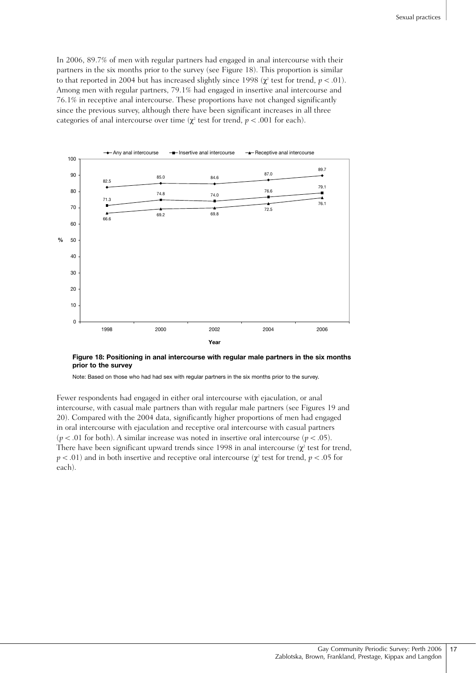In 2006, 89.7% of men with regular partners had engaged in anal intercourse with their partners in the six months prior to the survey (see Figure 18). This proportion is similar to that reported in 2004 but has increased slightly since 1998 ( $\chi^2$  test for trend,  $p < .01$ ). Among men with regular partners, 79.1% had engaged in insertive anal intercourse and 76.1% in receptive anal intercourse. These proportions have not changed significantly since the previous survey, although there have been significant increases in all three categories of anal intercourse over time ( $\chi^2$  test for trend,  $p < .001$  for each).



**Figure 18: Positioning in anal intercourse with regular male partners in the six months prior to the survey**

Note: Based on those who had had sex with regular partners in the six months prior to the survey.

Fewer respondents had engaged in either oral intercourse with ejaculation, or anal intercourse, with casual male partners than with regular male partners (see Figures 19 and 20). Compared with the 2004 data, significantly higher proportions of men had engaged in oral intercourse with ejaculation and receptive oral intercourse with casual partners ( $p < .01$  for both). A similar increase was noted in insertive oral intercourse ( $p < .05$ ). There have been significant upward trends since 1998 in anal intercourse  $(\chi^2$  test for trend,  $p < .01$ ) and in both insertive and receptive oral intercourse ( $\chi^2$  test for trend,  $p < .05$  for each).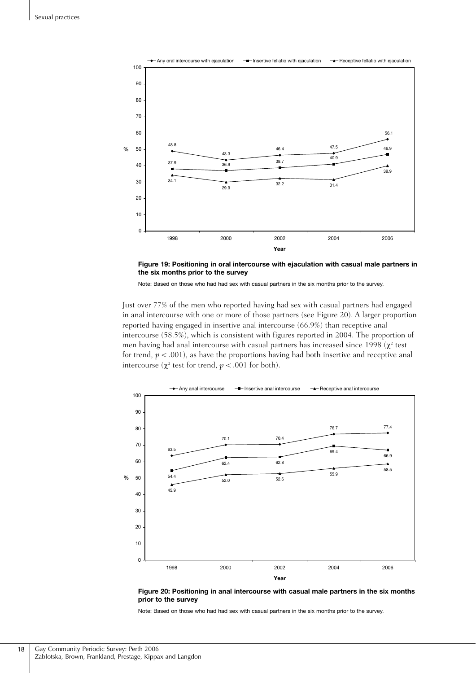

**Figure 19: Positioning in oral intercourse with ejaculation with casual male partners in the six months prior to the survey**

Note: Based on those who had had sex with casual partners in the six months prior to the survey.

Just over 77% of the men who reported having had sex with casual partners had engaged in anal intercourse with one or more of those partners (see Figure 20). A larger proportion reported having engaged in insertive anal intercourse (66.9%) than receptive anal intercourse (58.5%), which is consistent with figures reported in 2004. The proportion of men having had anal intercourse with casual partners has increased since 1998  $(\chi^2 \text{ test}$ for trend,  $p < .001$ ), as have the proportions having had both insertive and receptive anal intercourse ( $\chi^2$  test for trend,  $p < .001$  for both).



**Figure 20: Positioning in anal intercourse with casual male partners in the six months prior to the survey**

Note: Based on those who had had sex with casual partners in the six months prior to the survey.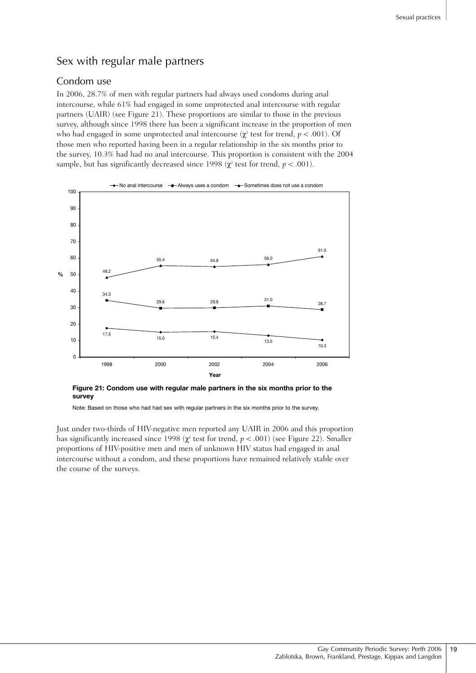## Sex with regular male partners

### Condom use

In 2006, 28.7% of men with regular partners had always used condoms during anal intercourse, while 61% had engaged in some unprotected anal intercourse with regular partners (UAIR) (see Figure 21). These proportions are similar to those in the previous survey, although since 1998 there has been a significant increase in the proportion of men who had engaged in some unprotected anal intercourse ( $\chi^2$  test for trend,  $p < .001$ ). Of those men who reported having been in a regular relationship in the six months prior to the survey, 10.3% had had no anal intercourse. This proportion is consistent with the 2004 sample, but has significantly decreased since 1998 ( $\chi^2$  test for trend,  $p < .001$ ).



**Figure 21: Condom use with regular male partners in the six months prior to the survey**

Note: Based on those who had had sex with regular partners in the six months prior to the survey.

Just under two-thirds of HIV-negative men reported any UAIR in 2006 and this proportion has significantly increased since 1998 ( $\chi^2$  test for trend,  $p < .001$ ) (see Figure 22). Smaller proportions of HIV-positive men and men of unknown HIV status had engaged in anal intercourse without a condom, and these proportions have remained relatively stable over the course of the surveys.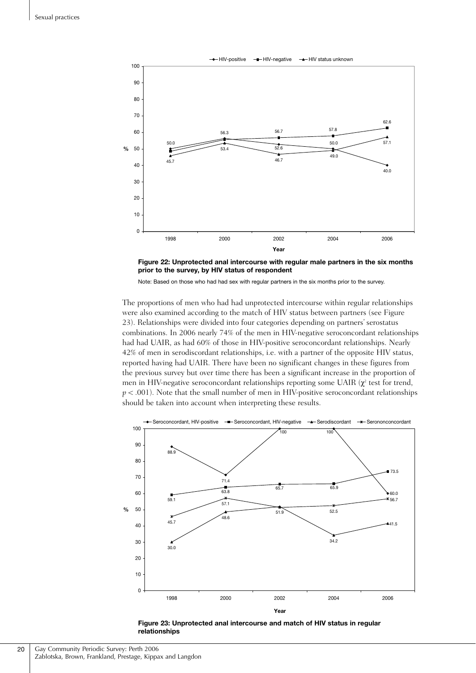



Note: Based on those who had had sex with regular partners in the six months prior to the survey.

The proportions of men who had had unprotected intercourse within regular relationships were also examined according to the match of HIV status between partners (see Figure 23). Relationships were divided into four categories depending on partners' serostatus combinations. In 2006 nearly 74% of the men in HIV-negative seroconcordant relationships had had UAIR, as had 60% of those in HIV-positive seroconcordant relationships. Nearly 42% of men in serodiscordant relationships, i.e. with a partner of the opposite HIV status, reported having had UAIR. There have been no significant changes in these figures from the previous survey but over time there has been a significant increase in the proportion of men in HIV-negative seroconcordant relationships reporting some UAIR  $(\chi^2)$  test for trend,  $p < .001$ ). Note that the small number of men in HIV-positive seroconcordant relationships should be taken into account when interpreting these results.



**Figure 23: Unprotected anal intercourse and match of HIV status in regular relationships**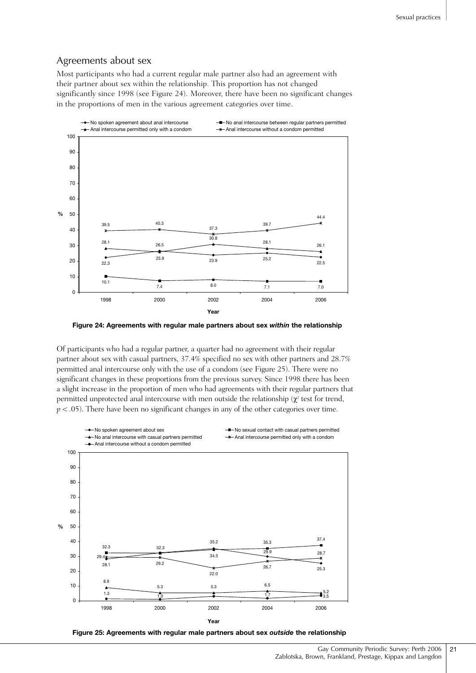#### Agreements about sex

Most participants who had a current regular male partner also had an agreement with their partner about sex within the relationship. This proportion has not changed significantly since 1998 (see Figure 24). Moreover, there have been no significant changes in the proportions of men in the various agreement categories over time.



**Figure 24: Agreements with regular male partners about sex** *within* **the relationship**

Of participants who had a regular partner, a quarter had no agreement with their regular partner about sex with casual partners, 37.4% specified no sex with other partners and 28.7% permitted anal intercourse only with the use of a condom (see Figure 25). There were no significant changes in these proportions from the previous survey. Since 1998 there has been a slight increase in the proportion of men who had agreements with their regular partners that permitted unprotected anal intercourse with men outside the relationship  $(\chi^2)$  test for trend,  $p < .05$ ). There have been no significant changes in any of the other categories over time.



**Figure 25: Agreements with regular male partners about sex** *outside* **the relationship**

Gay Community Periodic Survey: Perth 2006 Zablotska, Brown, Frankland, Prestage, Kippax and Langdon 21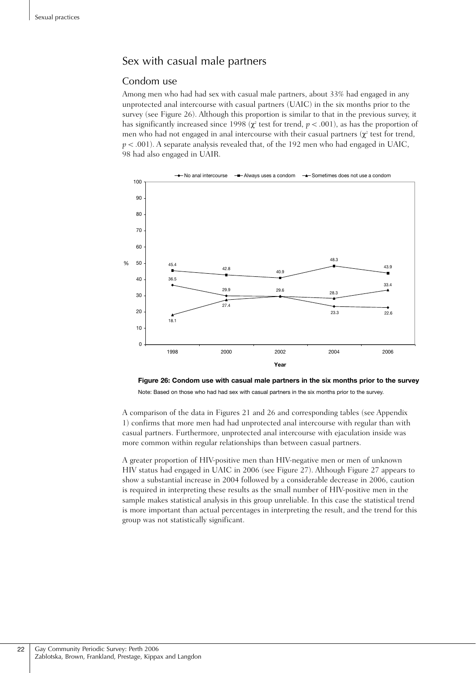### Sex with casual male partners

#### Condom use

Among men who had had sex with casual male partners, about 33% had engaged in any unprotected anal intercourse with casual partners (UAIC) in the six months prior to the survey (see Figure 26). Although this proportion is similar to that in the previous survey, it has significantly increased since 1998 ( $\chi^2$  test for trend,  $p < .001$ ), as has the proportion of men who had not engaged in anal intercourse with their casual partners  $(\chi^2$  test for trend,  $p < .001$ ). A separate analysis revealed that, of the 192 men who had engaged in UAIC, 98 had also engaged in UAIR.



**Figure 26: Condom use with casual male partners in the six months prior to the survey** Note: Based on those who had had sex with casual partners in the six months prior to the survey.

A comparison of the data in Figures 21 and 26 and corresponding tables (see Appendix 1) confirms that more men had had unprotected anal intercourse with regular than with casual partners. Furthermore, unprotected anal intercourse with ejaculation inside was more common within regular relationships than between casual partners.

A greater proportion of HIV-positive men than HIV-negative men or men of unknown HIV status had engaged in UAIC in 2006 (see Figure 27). Although Figure 27 appears to show a substantial increase in 2004 followed by a considerable decrease in 2006, caution is required in interpreting these results as the small number of HIV-positive men in the sample makes statistical analysis in this group unreliable. In this case the statistical trend is more important than actual percentages in interpreting the result, and the trend for this group was not statistically significant.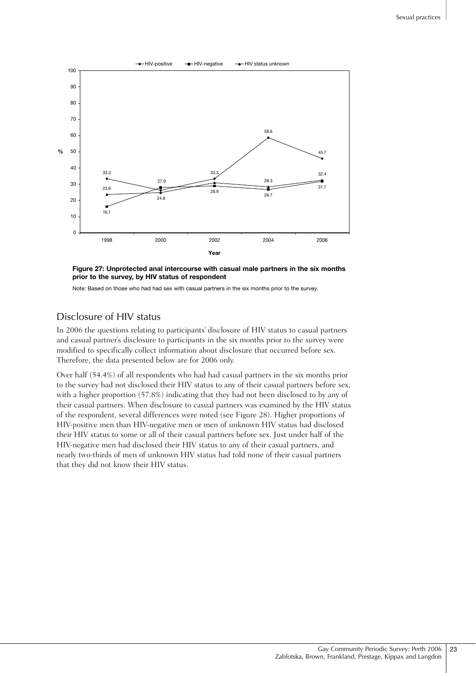

**Figure 27: Unprotected anal intercourse with casual male partners in the six months prior to the survey, by HIV status of respondent**

Note: Based on those who had had sex with casual partners in the six months prior to the survey.

#### Disclosure of HIV status

In 2006 the questions relating to participants' disclosure of HIV status to casual partners and casual partner's disclosure to participants in the six months prior to the survey were modified to specifically collect information about disclosure that occurred before sex. Therefore, the data presented below are for 2006 only.

Over half (54.4%) of all respondents who had had casual partners in the six months prior to the survey had not disclosed their HIV status to any of their casual partners before sex, with a higher proportion (57.8%) indicating that they had not been disclosed to by any of their casual partners. When disclosure to casual partners was examined by the HIV status of the respondent, several differences were noted (see Figure 28). Higher proportions of HIV-positive men than HIV-negative men or men of unknown HIV status had disclosed their HIV status to some or all of their casual partners before sex. Just under half of the HIV-negative men had disclosed their HIV status to any of their casual partners, and nearly two-thirds of men of unknown HIV status had told none of their casual partners that they did not know their HIV status.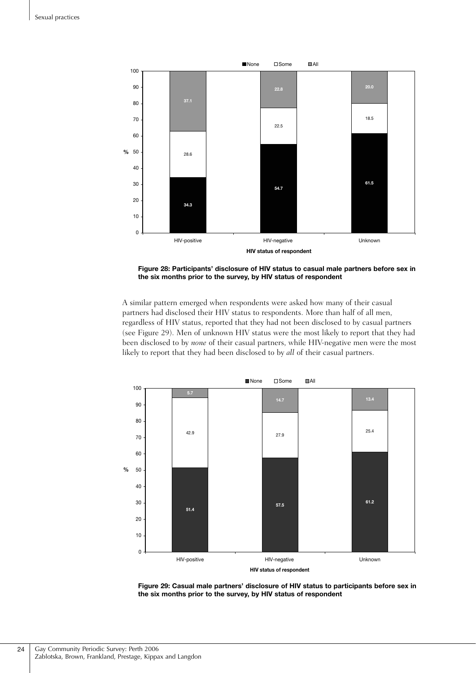

**Figure 28: Participants' disclosure of HIV status to casual male partners before sex in the six months prior to the survey, by HIV status of respondent**

A similar pattern emerged when respondents were asked how many of their casual partners had disclosed their HIV status to respondents. More than half of all men, regardless of HIV status, reported that they had not been disclosed to by casual partners (see Figure 29). Men of unknown HIV status were the most likely to report that they had been disclosed to by *none* of their casual partners, while HIV-negative men were the most likely to report that they had been disclosed to by *all* of their casual partners.



**Figure 29: Casual male partners' disclosure of HIV status to participants before sex in the six months prior to the survey, by HIV status of respondent**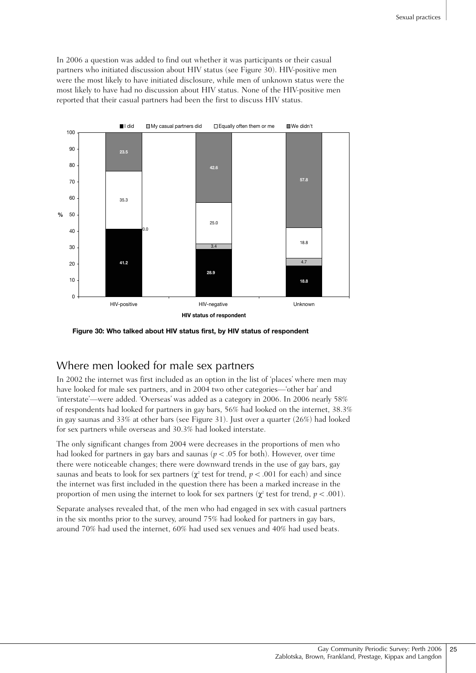In 2006 a question was added to find out whether it was participants or their casual partners who initiated discussion about HIV status (see Figure 30). HIV-positive men were the most likely to have initiated disclosure, while men of unknown status were the most likely to have had no discussion about HIV status. None of the HIV-positive men reported that their casual partners had been the first to discuss HIV status.



**Figure 30: Who talked about HIV status first, by HIV status of respondent** 

### Where men looked for male sex partners

In 2002 the internet was first included as an option in the list of 'places' where men may have looked for male sex partners, and in 2004 two other categories—'other bar' and 'interstate'—were added. 'Overseas' was added as a category in 2006. In 2006 nearly 58% of respondents had looked for partners in gay bars, 56% had looked on the internet, 38.3% in gay saunas and 33% at other bars (see Figure 31). Just over a quarter (26%) had looked for sex partners while overseas and 30.3% had looked interstate.

The only significant changes from 2004 were decreases in the proportions of men who had looked for partners in gay bars and saunas ( $p < .05$  for both). However, over time there were noticeable changes; there were downward trends in the use of gay bars, gay saunas and beats to look for sex partners ( $\chi^2$  test for trend,  $p < .001$  for each) and since the internet was first included in the question there has been a marked increase in the proportion of men using the internet to look for sex partners ( $\chi^2$  test for trend,  $p < .001$ ).

Separate analyses revealed that, of the men who had engaged in sex with casual partners in the six months prior to the survey, around 75% had looked for partners in gay bars, around 70% had used the internet, 60% had used sex venues and 40% had used beats.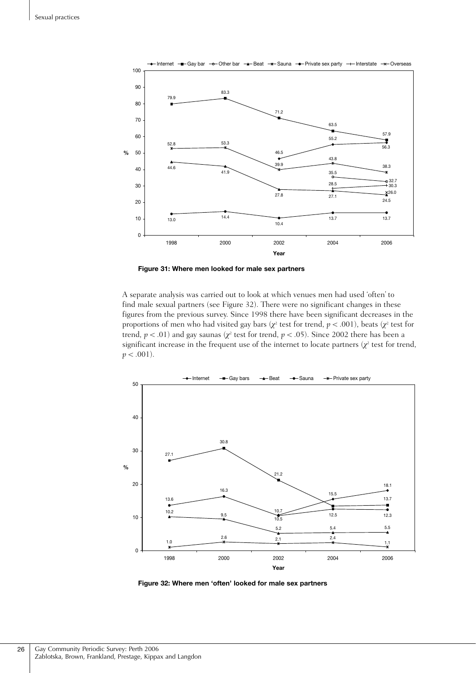

**Figure 31: Where men looked for male sex partners**

A separate analysis was carried out to look at which venues men had used 'often' to find male sexual partners (see Figure 32). There were no significant changes in these figures from the previous survey. Since 1998 there have been significant decreases in the proportions of men who had visited gay bars (*χ*<sup>2</sup> test for trend, *p* < .001), beats (*χ*<sup>2</sup> test for trend,  $p < .01$ ) and gay saunas ( $\chi^2$  test for trend,  $p < .05$ ). Since 2002 there has been a significant increase in the frequent use of the internet to locate partners  $(\chi^2)$  test for trend,  $p < .001$ ).



**Figure 32: Where men 'often' looked for male sex partners**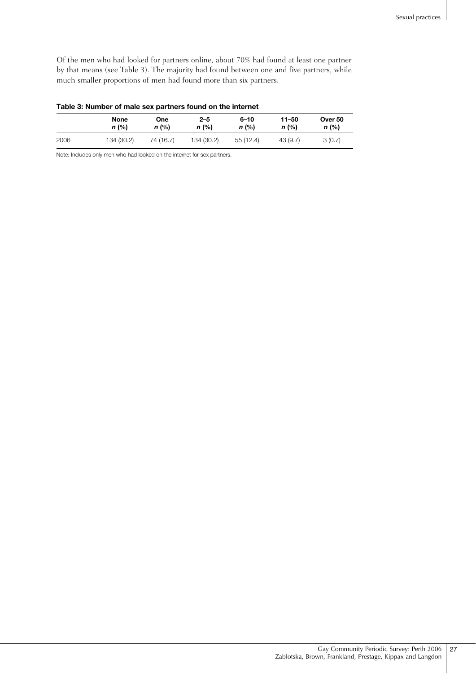Of the men who had looked for partners online, about 70% had found at least one partner by that means (see Table 3). The majority had found between one and five partners, while much smaller proportions of men had found more than six partners.

| Table 3: Number of male sex partners found on the internet |  |
|------------------------------------------------------------|--|
|                                                            |  |

|      | None       | One       | $2 - 5$    | $6 - 10$ | 11-50    | Over 50 |
|------|------------|-----------|------------|----------|----------|---------|
|      | n (%)      | n (%)     | $n$ (%)    | n (%)    | $n$ (%)  | $n$ (%) |
| 2006 | 134 (30.2) | 74 (16.7) | 134 (30.2) | 55(12.4) | 43 (9.7) | 3(0.7)  |

Note: Includes only men who had looked on the internet for sex partners.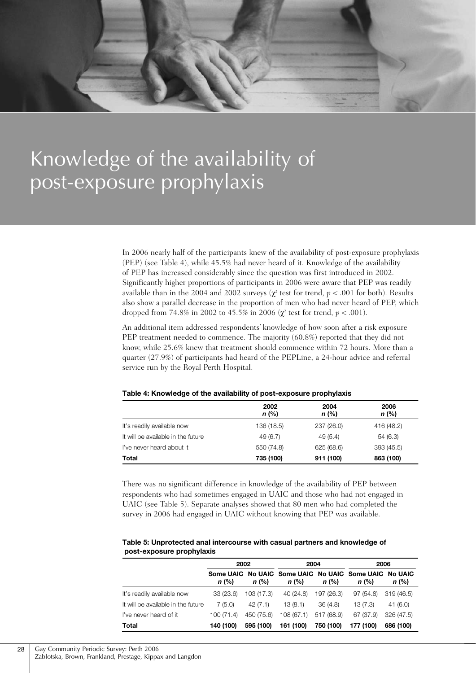

# Knowledge of the availability of post-exposure prophylaxis

In 2006 nearly half of the participants knew of the availability of post-exposure prophylaxis (PEP) (see Table 4), while 45.5% had never heard of it. Knowledge of the availability of PEP has increased considerably since the question was first introduced in 2002. Significantly higher proportions of participants in 2006 were aware that PEP was readily available than in the 2004 and 2002 surveys ( $\chi^2$  test for trend,  $p < .001$  for both). Results also show a parallel decrease in the proportion of men who had never heard of PEP, which dropped from 74.8% in 2002 to 45.5% in 2006 ( $χ$ <sup>2</sup> test for trend,  $p < .001$ ).

An additional item addressed respondents' knowledge of how soon after a risk exposure PEP treatment needed to commence. The majority (60.8%) reported that they did not know, while 25.6% knew that treatment should commence within 72 hours. More than a quarter (27.9%) of participants had heard of the PEPLine, a 24-hour advice and referral service run by the Royal Perth Hospital.

|                                    | 2002<br>$n$ (%) | 2004<br>$n$ (%) | 2006<br>n (%) |
|------------------------------------|-----------------|-----------------|---------------|
| It's readily available now         | 136 (18.5)      | 237 (26.0)      | 416 (48.2)    |
| It will be available in the future | 49 (6.7)        | 49(5.4)         | 54 (6.3)      |
| I've never heard about it          | 550 (74.8)      | 625 (68.6)      | 393 (45.5)    |
| Total                              | 735 (100)       | 911 (100)       | 863 (100)     |

#### **Table 4: Knowledge of the availability of post-exposure prophylaxis**

There was no significant difference in knowledge of the availability of PEP between respondents who had sometimes engaged in UAIC and those who had not engaged in UAIC (see Table 5). Separate analyses showed that 80 men who had completed the survey in 2006 had engaged in UAIC without knowing that PEP was available.

#### **Table 5: Unprotected anal intercourse with casual partners and knowledge of post-exposure prophylaxis**

|                                    | 2002       |            | 2004                                                             |            | 2006      |            |
|------------------------------------|------------|------------|------------------------------------------------------------------|------------|-----------|------------|
|                                    | $n$ (%)    | $n$ (%)    | Some UAIC No UAIC Some UAIC No UAIC Some UAIC No UAIC<br>$n$ (%) | $n$ (%)    | $n$ (%)   | $n$ (%)    |
| It's readily available now         | 33(23.6)   | 103 (17.3) | 40 (24.8)                                                        | 197 (26.3) | 97 (54.8) | 319 (46.5) |
| It will be available in the future | 7(5.0)     | 42(7.1)    | 13(8.1)                                                          | 36(4.8)    | 13(7.3)   | 41(6.0)    |
| I've never heard of it             | 100 (71.4) | 450 (75.6) | 108(67.1)                                                        | 517 (68.9) | 67 (37.9) | 326 (47.5) |
| Total                              | 140 (100)  | 595 (100)  | 161 (100)                                                        | 750 (100)  | 177 (100) | 686 (100)  |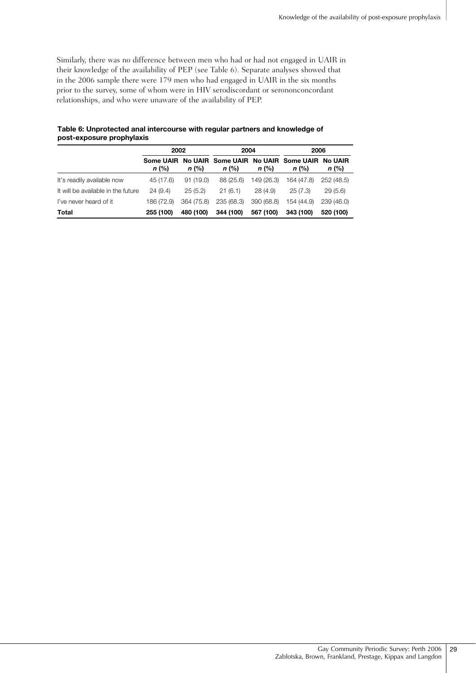Similarly, there was no difference between men who had or had not engaged in UAIR in their knowledge of the availability of PEP (see Table 6). Separate analyses showed that in the 2006 sample there were 179 men who had engaged in UAIR in the six months prior to the survey, some of whom were in HIV serodiscordant or serononconcordant relationships, and who were unaware of the availability of PEP.

|                                    | 2002       |            | 2004       |            | 2006                                                             |            |
|------------------------------------|------------|------------|------------|------------|------------------------------------------------------------------|------------|
|                                    | $n$ (%)    | $n$ (%)    | $n$ (%)    | $n$ (%)    | Some UAIR No UAIR Some UAIR No UAIR Some UAIR No UAIR<br>$n$ (%) | n (%)      |
| It's readily available now         | 45 (17.6)  | 91(19.0)   | 88 (25.6)  | 149 (26.3) | 164 (47.8)                                                       | 252 (48.5) |
| It will be available in the future | 24(9.4)    | 25(5.2)    | 21(6.1)    | 28(4.9)    | 25(7.3)                                                          | 29(5.6)    |
| I've never heard of it             | 186 (72.9) | 364 (75.8) | 235 (68.3) | 390 (68.8) | 154 (44.9)                                                       | 239 (46.0) |
| Total                              | 255 (100)  | 480 (100)  | 344 (100)  | 567 (100)  | 343 (100)                                                        | 520 (100)  |

#### **Table 6: Unprotected anal intercourse with regular partners and knowledge of post-exposure prophylaxis**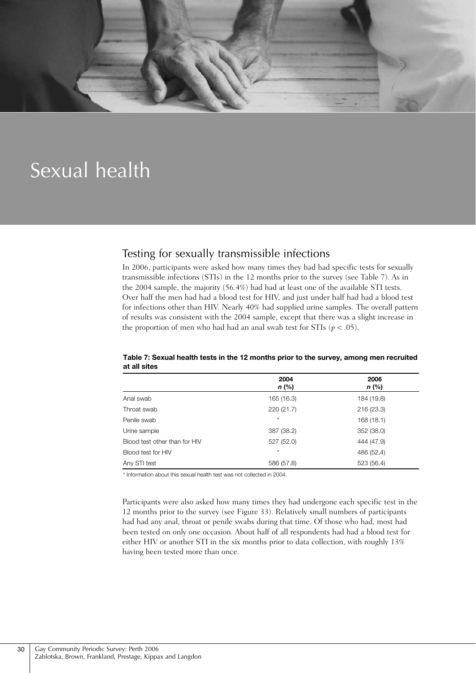

## Sexual health

### Testing for sexually transmissible infections

In 2006, participants were asked how many times they had had specific tests for sexually transmissible infections (STIs) in the 12 months prior to the survey (see Table 7). As in the 2004 sample, the majority (56.4%) had had at least one of the available STI tests. Over half the men had had a blood test for HIV, and just under half had had a blood test for infections other than HIV. Nearly 40% had supplied urine samples. The overall pattern of results was consistent with the 2004 sample, except that there was a slight increase in the proportion of men who had had an anal swab test for STIs ( $p < .05$ ).

|                               | 2004<br>n (%) | 2006<br>$n$ (%) |
|-------------------------------|---------------|-----------------|
| Anal swab                     | 165 (16.3)    | 184 (19.8)      |
| Throat swab                   | 220 (21.7)    | 216(23.3)       |
| Penile swab                   | $\star$       | 168(18.1)       |
| Urine sample                  | 387 (38.2)    | 352 (38.0)      |
| Blood test other than for HIV | 527 (52.0)    | 444 (47.9)      |
| Blood test for HIV            | $\star$       | 486 (52.4)      |
| Any STI test                  | 586 (57.8)    | 523 (56.4)      |

#### **Table 7: Sexual health tests in the 12 months prior to the survey, among men recruited at all sites**

\* Information about this sexual health test was not collected in 2004.

Participants were also asked how many times they had undergone each specific test in the 12 months prior to the survey (see Figure 33). Relatively small numbers of participants had had any anal, throat or penile swabs during that time. Of those who had, most had been tested on only one occasion. About half of all respondents had had a blood test for either HIV or another STI in the six months prior to data collection, with roughly 13% having been tested more than once.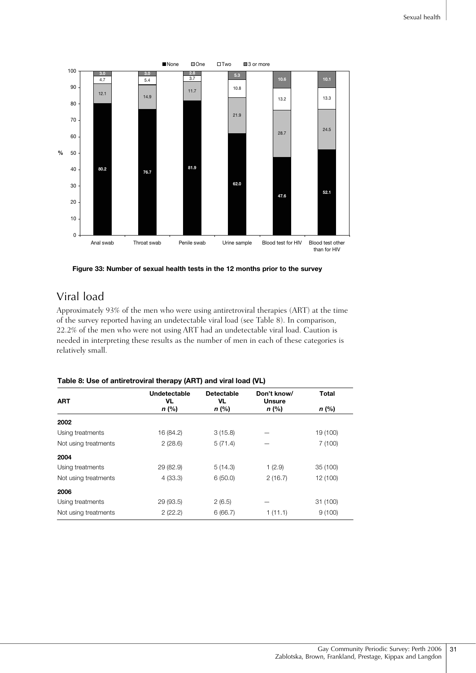

**Figure 33: Number of sexual health tests in the 12 months prior to the survey**

## Viral load

Approximately 93% of the men who were using antiretroviral therapies (ART) at the time of the survey reported having an undetectable viral load (see Table 8). In comparison, 22.2% of the men who were not using ART had an undetectable viral load. Caution is needed in interpreting these results as the number of men in each of these categories is relatively small.

#### **Table 8: Use of antiretroviral therapy (ART) and viral load (VL)**

| <b>ART</b>           | Undetectable<br>VL. | Detectable<br>VL | Don't know/<br><b>Unsure</b> | <b>Total</b> |
|----------------------|---------------------|------------------|------------------------------|--------------|
|                      | $n$ (%)             | $n$ (%)          | $n$ (%)                      | $n$ (%)      |
| 2002                 |                     |                  |                              |              |
| Using treatments     | 16 (84.2)           | 3(15.8)          |                              | 19 (100)     |
| Not using treatments | 2(28.6)             | 5(71.4)          |                              | 7(100)       |
| 2004                 |                     |                  |                              |              |
| Using treatments     | 29 (82.9)           | 5(14.3)          | 1(2.9)                       | 35 (100)     |
| Not using treatments | 4(33.3)             | 6(50.0)          | 2(16.7)                      | 12 (100)     |
| 2006                 |                     |                  |                              |              |
| Using treatments     | 29 (93.5)           | 2(6.5)           |                              | 31 (100)     |
| Not using treatments | 2(22.2)             | 6(66.7)          | 1(11.1)                      | 9(100)       |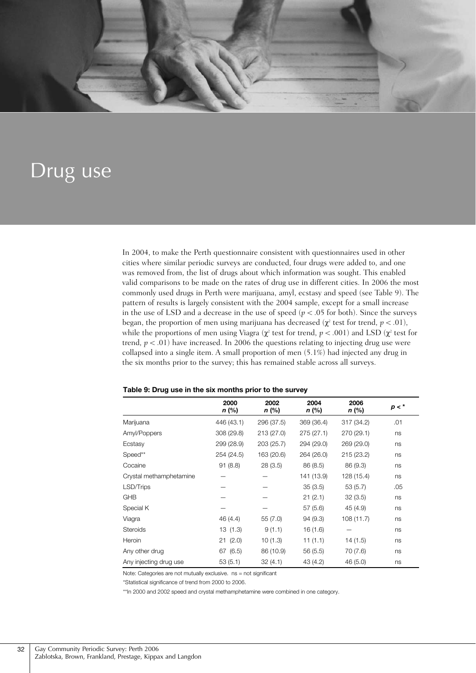

## Drug use

In 2004, to make the Perth questionnaire consistent with questionnaires used in other cities where similar periodic surveys are conducted, four drugs were added to, and one was removed from, the list of drugs about which information was sought. This enabled valid comparisons to be made on the rates of drug use in different cities. In 2006 the most commonly used drugs in Perth were marijuana, amyl, ecstasy and speed (see Table 9). The pattern of results is largely consistent with the 2004 sample, except for a small increase in the use of LSD and a decrease in the use of speed  $(p < .05$  for both). Since the surveys began, the proportion of men using marijuana has decreased ( $\chi^2$  test for trend,  $p < .01$ ), while the proportions of men using Viagra ( $\chi^2$  test for trend,  $p < .001$ ) and LSD ( $\chi^2$  test for trend,  $p < .01$ ) have increased. In 2006 the questions relating to injecting drug use were collapsed into a single item. A small proportion of men (5.1%) had injected any drug in the six months prior to the survey; this has remained stable across all surveys.

|                         | 2000<br>$n$ (%) | 2002<br>n (%) | 2004<br>$n$ (%) | 2006<br>n (%) | $p < *$ |
|-------------------------|-----------------|---------------|-----------------|---------------|---------|
| Marijuana               | 446 (43.1)      | 296 (37.5)    | 369 (36.4)      | 317 (34.2)    | .01     |
| Amyl/Poppers            | 308 (29.8)      | 213 (27.0)    | 275(27.1)       | 270 (29.1)    | ns      |
| Ecstasy                 | 299 (28.9)      | 203 (25.7)    | 294 (29.0)      | 269 (29.0)    | ns      |
| Speed**                 | 254 (24.5)      | 163 (20.6)    | 264 (26.0)      | 215(23.2)     | ns      |
| Cocaine                 | 91(8.8)         | 28(3.5)       | 86 (8.5)        | 86 (9.3)      | ns      |
| Crystal methamphetamine |                 |               | 141 (13.9)      | 128 (15.4)    | ns      |
| LSD/Trips               |                 |               | 35(3.5)         | 53(5.7)       | .05     |
| <b>GHB</b>              |                 |               | 21(2.1)         | 32(3.5)       | ns      |
| Special K               |                 |               | 57(5.6)         | 45 (4.9)      | ns      |
| Viagra                  | 46 (4.4)        | 55(7.0)       | 94(9.3)         | 108(11.7)     | ns      |
| Steroids                | 13 (1.3)        | 9(1.1)        | 16 (1.6)        |               | ns      |
| Heroin                  | 21(2.0)         | 10(1.3)       | 11(1.1)         | 14 (1.5)      | ns      |
| Any other drug          | 67 (6.5)        | 86 (10.9)     | 56 (5.5)        | 70 (7.6)      | ns      |
| Any injecting drug use  | 53(5.1)         | 32(4.1)       | 43 (4.2)        | 46 (5.0)      | ns      |

#### **Table 9: Drug use in the six months prior to the survey**

Note: Categories are not mutually exclusive. ns = not significant

\*Statistical significance of trend from 2000 to 2006.

\*\*In 2000 and 2002 speed and crystal methamphetamine were combined in one category.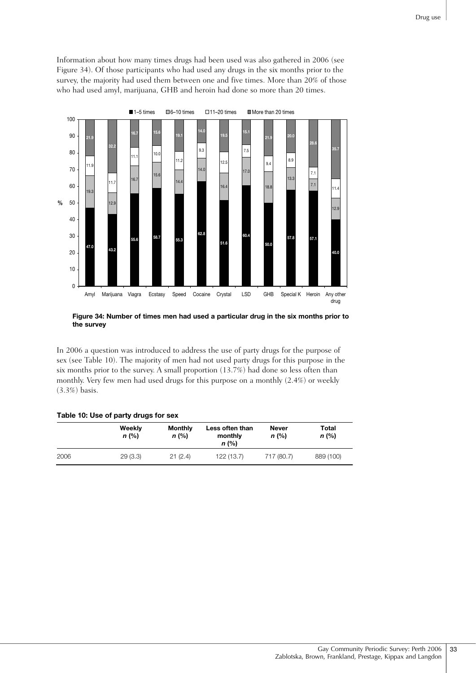Information about how many times drugs had been used was also gathered in 2006 (see Figure 34). Of those participants who had used any drugs in the six months prior to the survey, the majority had used them between one and five times. More than 20% of those who had used amyl, marijuana, GHB and heroin had done so more than 20 times.



**Figure 34: Number of times men had used a particular drug in the six months prior to the survey**

In 2006 a question was introduced to address the use of party drugs for the purpose of sex (see Table 10). The majority of men had not used party drugs for this purpose in the six months prior to the survey. A small proportion (13.7%) had done so less often than monthly. Very few men had used drugs for this purpose on a monthly (2.4%) or weekly (3.3%) basis.

#### **Table 10: Use of party drugs for sex**

|      | Weekly<br>$n$ (%) | <b>Monthly</b><br>$n$ (%) | Less often than<br>monthly<br>$n$ (%) | Never<br>$n$ (%) | Total<br>$n$ (%) |
|------|-------------------|---------------------------|---------------------------------------|------------------|------------------|
| 2006 | 29(3.3)           | 21(2.4)                   | 122 (13.7)                            | 717 (80.7)       | 889 (100)        |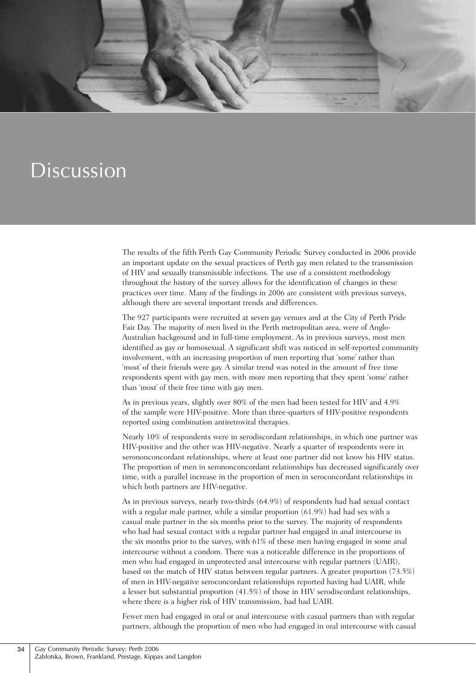

## Discussion

The results of the fifth Perth Gay Community Periodic Survey conducted in 2006 provide an important update on the sexual practices of Perth gay men related to the transmission of HIV and sexually transmissible infections. The use of a consistent methodology throughout the history of the survey allows for the identification of changes in these practices over time. Many of the findings in 2006 are consistent with previous surveys, although there are several important trends and differences.

The 927 participants were recruited at seven gay venues and at the City of Perth Pride Fair Day. The majority of men lived in the Perth metropolitan area, were of Anglo-Australian background and in full-time employment. As in previous surveys, most men identified as gay or homosexual. A significant shift was noticed in self-reported community involvement, with an increasing proportion of men reporting that 'some' rather than 'most' of their friends were gay. A similar trend was noted in the amount of free time respondents spent with gay men, with more men reporting that they spent 'some' rather than 'most' of their free time with gay men.

As in previous years, slightly over 80% of the men had been tested for HIV and 4.9% of the sample were HIV-positive. More than three-quarters of HIV-positive respondents reported using combination antiretroviral therapies.

Nearly 10% of respondents were in serodiscordant relationships, in which one partner was HIV-positive and the other was HIV-negative. Nearly a quarter of respondents were in serononconcordant relationships, where at least one partner did not know his HIV status. The proportion of men in serononconcordant relationships has decreased significantly over time, with a parallel increase in the proportion of men in seroconcordant relationships in which both partners are HIV-negative.

As in previous surveys, nearly two-thirds (64.9%) of respondents had had sexual contact with a regular male partner, while a similar proportion (61.9%) had had sex with a casual male partner in the six months prior to the survey. The majority of respondents who had had sexual contact with a regular partner had engaged in anal intercourse in the six months prior to the survey, with 61% of these men having engaged in some anal intercourse without a condom. There was a noticeable difference in the proportions of men who had engaged in unprotected anal intercourse with regular partners (UAIR), based on the match of HIV status between regular partners. A greater proportion (73.5%) of men in HIV-negative seroconcordant relationships reported having had UAIR, while a lesser but substantial proportion (41.5%) of those in HIV serodiscordant relationships, where there is a higher risk of HIV transmission, had had UAIR.

Fewer men had engaged in oral or anal intercourse with casual partners than with regular partners, although the proportion of men who had engaged in oral intercourse with casual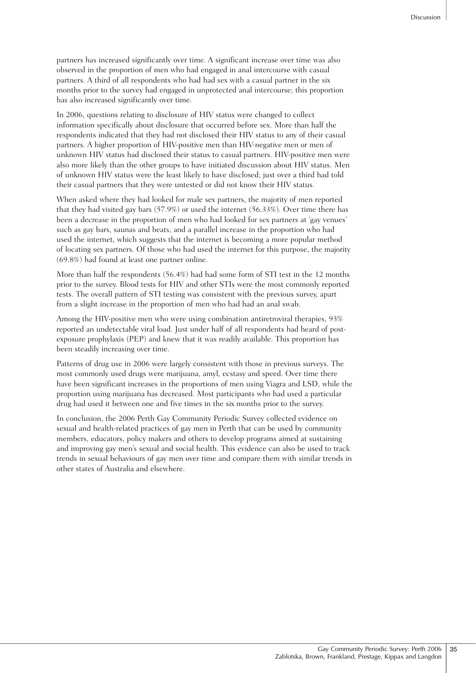partners has increased significantly over time. A significant increase over time was also observed in the proportion of men who had engaged in anal intercourse with casual partners. A third of all respondents who had had sex with a casual partner in the six months prior to the survey had engaged in unprotected anal intercourse; this proportion has also increased significantly over time.

In 2006, questions relating to disclosure of HIV status were changed to collect information specifically about disclosure that occurred before sex. More than half the respondents indicated that they had not disclosed their HIV status to any of their casual partners. A higher proportion of HIV-positive men than HIV-negative men or men of unknown HIV status had disclosed their status to casual partners. HIV-positive men were also more likely than the other groups to have initiated discussion about HIV status. Men of unknown HIV status were the least likely to have disclosed; just over a third had told their casual partners that they were untested or did not know their HIV status.

When asked where they had looked for male sex partners, the majority of men reported that they had visited gay bars (57.9%) or used the internet (56.33%). Over time there has been a decrease in the proportion of men who had looked for sex partners at 'gay venues' such as gay bars, saunas and beats, and a parallel increase in the proportion who had used the internet, which suggests that the internet is becoming a more popular method of locating sex partners. Of those who had used the internet for this purpose, the majority (69.8%) had found at least one partner online.

More than half the respondents (56.4%) had had some form of STI test in the 12 months prior to the survey. Blood tests for HIV and other STIs were the most commonly reported tests. The overall pattern of STI testing was consistent with the previous survey, apart from a slight increase in the proportion of men who had had an anal swab.

Among the HIV-positive men who were using combination antiretroviral therapies, 93% reported an undetectable viral load. Just under half of all respondents had heard of postexposure prophylaxis (PEP) and knew that it was readily available. This proportion has been steadily increasing over time.

Patterns of drug use in 2006 were largely consistent with those in previous surveys. The most commonly used drugs were marijuana, amyl, ecstasy and speed. Over time there have been significant increases in the proportions of men using Viagra and LSD, while the proportion using marijuana has decreased. Most participants who had used a particular drug had used it between one and five times in the six months prior to the survey.

In conclusion, the 2006 Perth Gay Community Periodic Survey collected evidence on sexual and health-related practices of gay men in Perth that can be used by community members, educators, policy makers and others to develop programs aimed at sustaining and improving gay men's sexual and social health. This evidence can also be used to track trends in sexual behaviours of gay men over time and compare them with similar trends in other states of Australia and elsewhere.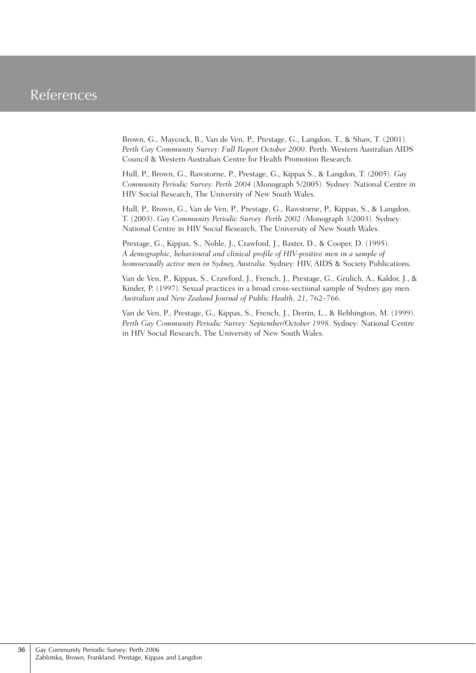## References

Brown, G., Maycock, B., Van de Ven, P., Prestage, G., Langdon, T., & Shaw, T. (2001). *Perth Gay Community Survey: Full Report October 2000*. Perth: Western Australian AIDS Council & Western Australian Centre for Health Promotion Research.

Hull, P., Brown, G., Rawstorne, P., Prestage, G., Kippax S., & Langdon, T. (2005). *Gay Community Periodic Survey: Perth 2004* (Monograph 5/2005). Sydney: National Centre in HIV Social Research, The University of New South Wales.

Hull, P., Brown, G., Van de Ven, P., Prestage, G., Rawstorne, P., Kippax, S., & Langdon, T. (2003). *Gay Community Periodic Survey: Perth 2002 (*Monograph 3/2003). Sydney: National Centre in HIV Social Research, The University of New South Wales.

Prestage, G., Kippax, S., Noble, J., Crawford, J., Baxter, D., & Cooper, D. (1995). *A demographic, behavioural and clinical profile of HIV-positive men in a sample of homosexually active men in Sydney, Australia*. Sydney: HIV, AIDS & Society Publications.

Van de Ven, P., Kippax, S., Crawford, J., French, J., Prestage, G., Grulich, A., Kaldor, J., & Kinder, P. (1997). Sexual practices in a broad cross-sectional sample of Sydney gay men. *Australian and New Zealand Journal of Public Health*, *21*, 762–766.

Van de Ven, P., Prestage, G., Kippax, S., French, J., Derrin, L., & Bebbington, M. (1999). *Perth Gay Community Periodic Survey: September/October 1998*. Sydney: National Centre in HIV Social Research, The University of New South Wales.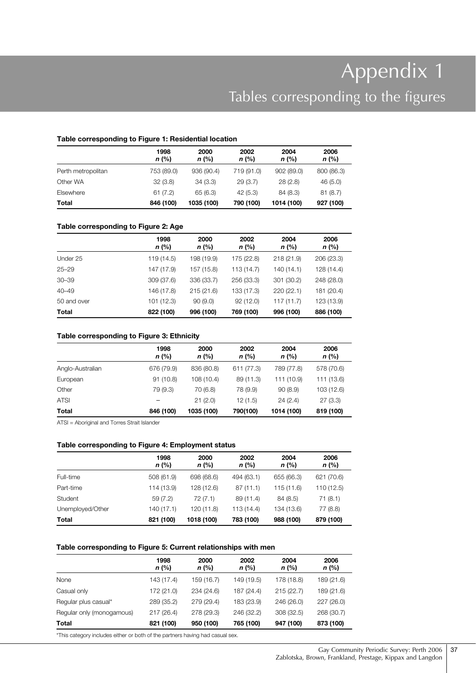# Appendix 1 Tables corresponding to the figures

#### **Table corresponding to Figure 1: Residential location**

|                    | 1998<br>n (%) | 2000<br>$n$ (%) | 2002<br>$n$ (%) | 2004<br>n (%) | 2006<br>n (%) |  |  |
|--------------------|---------------|-----------------|-----------------|---------------|---------------|--|--|
| Perth metropolitan | 753 (89.0)    | 936 (90.4)      | 719 (91.0)      | 902 (89.0)    | 800 (86.3)    |  |  |
| Other WA           | 32(3.8)       | 34(3.3)         | 29(3.7)         | 28(2.8)       | 46 (5.0)      |  |  |
| Elsewhere          | 61(7.2)       | 65 (6.3)        | 42(5.3)         | 84(8.3)       | 81(8.7)       |  |  |
| Total              | 846 (100)     | 1035 (100)      | 790 (100)       | 1014 (100)    | 927 (100)     |  |  |

#### **Table corresponding to Figure 2: Age**

|             | 1998<br>$n$ (%) | 2000<br>$n$ (%) | 2002<br>$n$ (%) | 2004<br>$n$ (%) | 2006<br>$n$ (%) |
|-------------|-----------------|-----------------|-----------------|-----------------|-----------------|
| Under 25    | 119 (14.5)      | 198 (19.9)      | 175 (22.8)      | 218 (21.9)      | 206 (23.3)      |
| $25 - 29$   | 147 (17.9)      | 157 (15.8)      | 113 (14.7)      | 140 (14.1)      | 128 (14.4)      |
| $30 - 39$   | 309 (37.6)      | 336 (33.7)      | 256 (33.3)      | 301 (30.2)      | 248 (28.0)      |
| $40 - 49$   | 146 (17.8)      | 215(21.6)       | 133 (17.3)      | 220 (22.1)      | 181 (20.4)      |
| 50 and over | 101 (12.3)      | 90(9.0)         | 92(12.0)        | 117(11.7)       | 123 (13.9)      |
| Total       | 822 (100)       | 996 (100)       | 769 (100)       | 996 (100)       | 886 (100)       |

#### **Table corresponding to Figure 3: Ethnicity**

|                  | 1998<br>$n$ (%) | 2000<br>$n$ (%) | 2002<br>$n$ (%) | 2004<br>$n$ (%) | 2006<br>n (%) |
|------------------|-----------------|-----------------|-----------------|-----------------|---------------|
| Anglo-Australian | 676 (79.9)      | 836 (80.8)      | 611 (77.3)      | 789 (77.8)      | 578 (70.6)    |
| European         | 91(10.8)        | 108 (10.4)      | 89 (11.3)       | 111 (10.9)      | 111 (13.6)    |
| Other            | 79 (9.3)        | 70 (6.8)        | 78 (9.9)        | 90(8.9)         | 103 (12.6)    |
| <b>ATSI</b>      |                 | 21(2.0)         | 12(1.5)         | 24(2.4)         | 27(3.3)       |
| <b>Total</b>     | 846 (100)       | 1035 (100)      | 790(100)        | 1014 (100)      | 819 (100)     |

ATSI = Aboriginal and Torres Strait Islander

#### **Table corresponding to Figure 4: Employment status**

|                  | 1998<br>$n$ (%) | 2000<br>$n$ (%) | 2002<br>n (%) | 2004<br>$n$ (%) | 2006<br>$n$ (%) |
|------------------|-----------------|-----------------|---------------|-----------------|-----------------|
| Full-time        | 508 (61.9)      | 698 (68.6)      | 494 (63.1)    | 655 (66.3)      | 621 (70.6)      |
| Part-time        | 114 (13.9)      | 128 (12.6)      | 87(11.1)      | 115 (11.6)      | 110 (12.5)      |
| Student          | 59(7.2)         | 72 (7.1)        | 89 (11.4)     | 84 (8.5)        | 71(8.1)         |
| Unemployed/Other | 140(17.1)       | 120 (11.8)      | 113 (14.4)    | 134 (13.6)      | 77 (8.8)        |
| <b>Total</b>     | 821 (100)       | 1018 (100)      | 783 (100)     | 988 (100)       | 879 (100)       |

#### **Table corresponding to Figure 5: Current relationships with men**

|                           | 1998<br>$n$ (%) | 2000<br>$n$ (%) | 2002<br>$n$ (%) | 2004<br>$n$ (%) | 2006<br>n (%) |
|---------------------------|-----------------|-----------------|-----------------|-----------------|---------------|
| None                      | 143 (17.4)      | 159 (16.7)      | 149 (19.5)      | 178 (18.8)      | 189 (21.6)    |
| Casual only               | 172 (21.0)      | 234 (24.6)      | 187 (24.4)      | 215(22.7)       | 189 (21.6)    |
| Regular plus casual*      | 289 (35.2)      | 279 (29.4)      | 183 (23.9)      | 246 (26.0)      | 227 (26.0)    |
| Regular only (monogamous) | 217(26.4)       | 278 (29.3)      | 246 (32.2)      | 308 (32.5)      | 268 (30.7)    |
| Total                     | 821 (100)       | 950 (100)       | 765 (100)       | 947 (100)       | 873 (100)     |

\*This category includes either or both of the partners having had casual sex.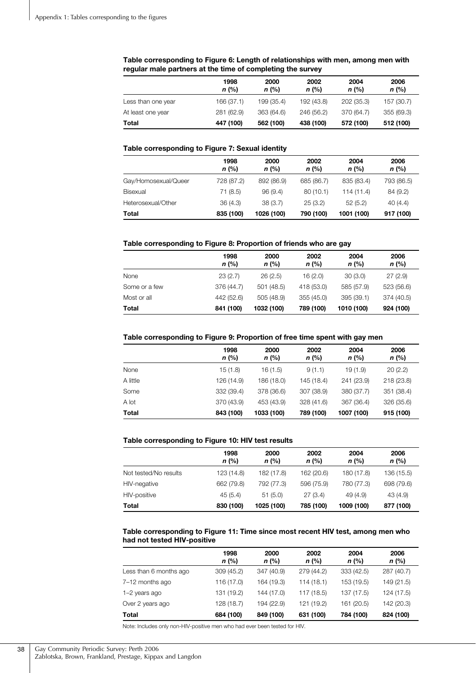|                    | 1998<br>$n$ (%) | 2000<br>$n$ (%) | 2002<br>$n$ (%) | 2004<br>$n$ (%) | 2006<br>$n$ (%) |
|--------------------|-----------------|-----------------|-----------------|-----------------|-----------------|
| Less than one year | 166 (37.1)      | 199 (35.4)      | 192 (43.8)      | 202 (35.3)      | 157 (30.7)      |
| At least one year  | 281 (62.9)      | 363 (64.6)      | 246 (56.2)      | 370 (64.7)      | 355 (69.3)      |
| Total              | 447 (100)       | 562 (100)       | 438 (100)       | 572 (100)       | 512 (100)       |

#### **Table corresponding to Figure 6: Length of relationships with men, among men with regular male partners at the time of completing the survey**

#### **Table corresponding to Figure 7: Sexual identity**

|                      | 1998<br>$n$ (%) | 2000<br>$n$ (%) | 2002<br>n (%) | 2004<br>$n$ (%) | 2006<br>$n$ (%) |
|----------------------|-----------------|-----------------|---------------|-----------------|-----------------|
| Gay/Homosexual/Queer | 728 (87.2)      | 892 (86.9)      | 685 (86.7)    | 835 (83.4)      | 793 (86.5)      |
| Bisexual             | 71 (8.5)        | 96(9.4)         | 80(10.1)      | 114 (11.4)      | 84 (9.2)        |
| Heterosexual/Other   | 36(4.3)         | 38 (3.7)        | 25(3.2)       | 52(5.2)         | 40(4.4)         |
| Total                | 835 (100)       | 1026 (100)      | 790 (100)     | 1001 (100)      | 917 (100)       |

#### **Table corresponding to Figure 8: Proportion of friends who are gay**

|               | 1998<br>$n$ (%) | 2000<br>$n$ (%) | 2002<br>$n$ (%) | 2004<br>$n$ (%) | 2006<br>$n$ (%) |
|---------------|-----------------|-----------------|-----------------|-----------------|-----------------|
| None          | 23(2.7)         | 26(2.5)         | 16(2.0)         | 30(3.0)         | 27(2.9)         |
| Some or a few | 376 (44.7)      | 501 (48.5)      | 418 (53.0)      | 585 (57.9)      | 523 (56.6)      |
| Most or all   | 442 (52.6)      | 505 (48.9)      | 355 (45.0)      | 395 (39.1)      | 374 (40.5)      |
| Total         | 841 (100)       | 1032 (100)      | 789 (100)       | 1010 (100)      | 924 (100)       |

#### **Table corresponding to Figure 9: Proportion of free time spent with gay men**

|              | 1998<br>n (%) | 2000<br>$n$ (%) | 2002<br>$n$ (%) | 2004<br>$n$ (%) | 2006<br>n (%) |
|--------------|---------------|-----------------|-----------------|-----------------|---------------|
| None         | 15(1.8)       | 16(1.5)         | 9(1.1)          | 19(1.9)         | 20(2.2)       |
| A little     | 126 (14.9)    | 186 (18.0)      | 145 (18.4)      | 241 (23.9)      | 218 (23.8)    |
| Some         | 332 (39.4)    | 378 (36.6)      | 307 (38.9)      | 380 (37.7)      | 351 (38.4)    |
| A lot        | 370 (43.9)    | 453 (43.9)      | 328 (41.6)      | 367 (36.4)      | 326 (35.6)    |
| <b>Total</b> | 843 (100)     | 1033 (100)      | 789 (100)       | 1007 (100)      | 915 (100)     |

#### **Table corresponding to Figure 10: HIV test results**

|                       | 1998<br>$n$ (%) | 2000<br>$n$ (%) | 2002<br>$n$ (%) | 2004<br>$n$ (%) | 2006<br>$n$ (%) |
|-----------------------|-----------------|-----------------|-----------------|-----------------|-----------------|
| Not tested/No results | 123 (14.8)      | 182 (17.8)      | 162 (20.6)      | 180 (17.8)      | 136 (15.5)      |
| HIV-negative          | 662 (79.8)      | 792 (77.3)      | 596 (75.9)      | 780 (77.3)      | 698 (79.6)      |
| HIV-positive          | 45(5.4)         | 51(5.0)         | 27(3.4)         | 49 (4.9)        | 43 (4.9)        |
| Total                 | 830 (100)       | 1025 (100)      | 785 (100)       | 1009 (100)      | 877 (100)       |

#### **Table corresponding to Figure 11: Time since most recent HIV test, among men who had not tested HIV-positive**

|                        | 1998<br>$n$ (%) | 2000<br>$n$ (%) | 2002<br>$n$ (%) | 2004<br>$n$ (%) | 2006<br>n (%) |
|------------------------|-----------------|-----------------|-----------------|-----------------|---------------|
| Less than 6 months ago | 309 (45.2)      | 347 (40.9)      | 279 (44.2)      | 333 (42.5)      | 287 (40.7)    |
| 7-12 months ago        | 116 (17.0)      | 164 (19.3)      | 114(18.1)       | 153 (19.5)      | 149 (21.5)    |
| 1-2 years ago          | 131 (19.2)      | 144 (17.0)      | 117 (18.5)      | 137 (17.5)      | 124 (17.5)    |
| Over 2 years ago       | 128 (18.7)      | 194 (22.9)      | 121 (19.2)      | 161 (20.5)      | 142 (20.3)    |
| Total                  | 684 (100)       | 849 (100)       | 631 (100)       | 784 (100)       | 824 (100)     |

Note: Includes only non-HIV-positive men who had ever been tested for HIV.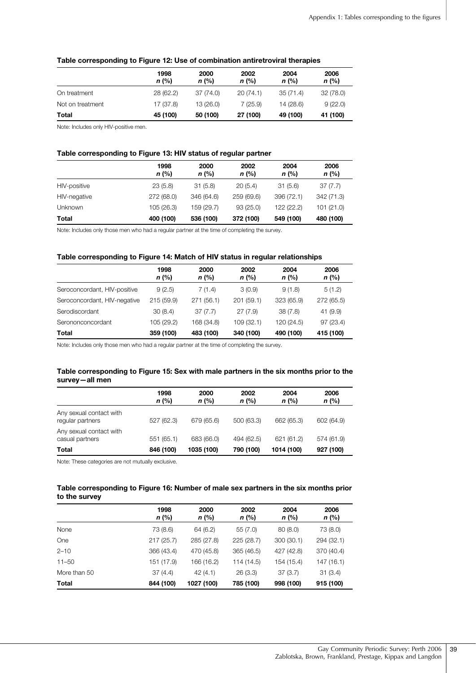|                  | 1998<br>$n$ (%) | 2000<br>$n$ (%) | 2002<br>$n$ (%) | 2004<br>n (%) | 2006<br>$n$ (%) |
|------------------|-----------------|-----------------|-----------------|---------------|-----------------|
| On treatment     | 28(62.2)        | 37 (74.0)       | 20(74.1)        | 35(71.4)      | 32 (78.0)       |
| Not on treatment | 17 (37.8)       | 13 (26.0)       | 7(25.9)         | 14 (28.6)     | 9(22.0)         |
| Total            | 45 (100)        | 50 (100)        | 27 (100)        | 49 (100)      | 41 (100)        |

Note: Includes only HIV-positive men.

#### **Table corresponding to Figure 13: HIV status of regular partner**

|                | 1998<br>$n$ (%) | 2000<br>$n$ (%) | 2002<br>$n$ (%) | 2004<br>$n$ (%) | 2006<br>n (%) |
|----------------|-----------------|-----------------|-----------------|-----------------|---------------|
| HIV-positive   | 23(5.8)         | 31(5.8)         | 20(5.4)         | 31(5.6)         | 37(7.7)       |
| HIV-negative   | 272 (68.0)      | 346 (64.6)      | 259 (69.6)      | 396 (72.1)      | 342 (71.3)    |
| <b>Unknown</b> | 105 (26.3)      | 159 (29.7)      | 93(25.0)        | 122 (22.2)      | 101(21.0)     |
| <b>Total</b>   | 400 (100)       | 536 (100)       | 372 (100)       | 549 (100)       | 480 (100)     |

Note: Includes only those men who had a regular partner at the time of completing the survey.

#### **Table corresponding to Figure 14: Match of HIV status in regular relationships**

|                              | 1998<br>$n$ (%) | 2000<br>$n$ (%) | 2002<br>$n$ (%) | 2004<br>$n$ (%) | 2006<br>$n$ (%) |
|------------------------------|-----------------|-----------------|-----------------|-----------------|-----------------|
| Seroconcordant, HIV-positive | 9(2.5)          | 7(1.4)          | 3(0.9)          | 9(1.8)          | 5(1.2)          |
| Seroconcordant, HIV-negative | 215 (59.9)      | 271 (56.1)      | 201(59.1)       | 323 (65.9)      | 272 (65.5)      |
| Serodiscordant               | 30(8.4)         | 37(7.7)         | 27(7.9)         | 38(7.8)         | 41 (9.9)        |
| Serononconcordant            | 105 (29.2)      | 168 (34.8)      | 109 (32.1)      | 120 (24.5)      | 97 (23.4)       |
| Total                        | 359 (100)       | 483 (100)       | 340 (100)       | 490 (100)       | 415 (100)       |

Note: Includes only those men who had a regular partner at the time of completing the survey.

#### **Table corresponding to Figure 15: Sex with male partners in the six months prior to the survey—all men**

|                                             | 1998<br>$n$ (%) | 2000<br>$n$ (%) | 2002<br>n (%) | 2004<br>$n$ (%) | 2006<br>n (%) |
|---------------------------------------------|-----------------|-----------------|---------------|-----------------|---------------|
| Any sexual contact with<br>regular partners | 527 (62.3)      | 679 (65.6)      | 500 (63.3)    | 662 (65.3)      | 602 (64.9)    |
| Any sexual contact with<br>casual partners  | 551 (65.1)      | 683 (66.0)      | 494 (62.5)    | 621 (61.2)      | 574 (61.9)    |
| Total                                       | 846 (100)       | 1035 (100)      | 790 (100)     | 1014 (100)      | 927 (100)     |

Note: These categories are not mutually exclusive.

#### **Table corresponding to Figure 16: Number of male sex partners in the six months prior to the survey**

|              | 1998<br>$n$ (%) | 2000<br>n (%) | 2002<br>$n$ (%) | 2004<br>$n$ (%) | 2006<br>n (%) |
|--------------|-----------------|---------------|-----------------|-----------------|---------------|
| None         | 73 (8.6)        | 64 (6.2)      | 55 (7.0)        | 80(8.0)         | 73 (8.0)      |
| One          | 217(25.7)       | 285 (27.8)    | 225 (28.7)      | 300(30.1)       | 294 (32.1)    |
| $2 - 10$     | 366 (43.4)      | 470 (45.8)    | 365 (46.5)      | 427 (42.8)      | 370 (40.4)    |
| $11 - 50$    | 151 (17.9)      | 166 (16.2)    | 114 (14.5)      | 154 (15.4)      | 147 (16.1)    |
| More than 50 | 37(4.4)         | 42(4.1)       | 26(3.3)         | 37(3.7)         | 31(3.4)       |
| Total        | 844 (100)       | 1027 (100)    | 785 (100)       | 998 (100)       | 915 (100)     |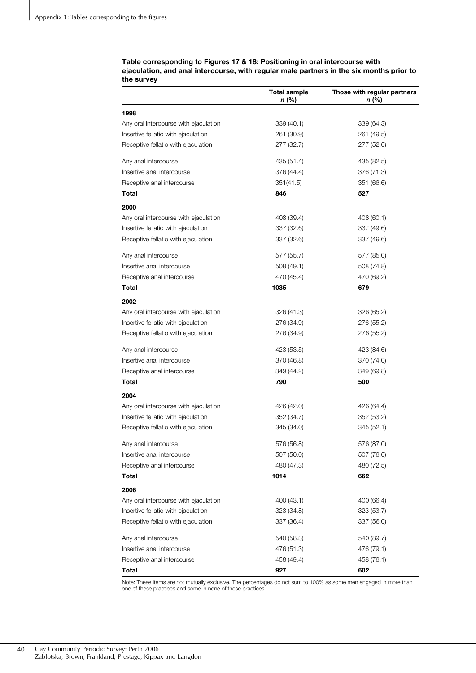#### **Table corresponding to Figures 17 & 18: Positioning in oral intercourse with ejaculation, and anal intercourse, with regular male partners in the six months prior to the survey**

|                                       | <b>Total sample</b><br>n (%) | Those with regular partners<br>n (%) |
|---------------------------------------|------------------------------|--------------------------------------|
| 1998                                  |                              |                                      |
| Any oral intercourse with ejaculation | 339 (40.1)                   | 339 (64.3)                           |
| Insertive fellatio with ejaculation   | 261 (30.9)                   | 261 (49.5)                           |
| Receptive fellatio with ejaculation   | 277 (32.7)                   | 277 (52.6)                           |
| Any anal intercourse                  | 435 (51.4)                   | 435 (82.5)                           |
| Insertive anal intercourse            | 376 (44.4)                   | 376 (71.3)                           |
| Receptive anal intercourse            | 351(41.5)                    | 351 (66.6)                           |
| Total                                 | 846                          | 527                                  |
| 2000                                  |                              |                                      |
| Any oral intercourse with ejaculation | 408 (39.4)                   | 408 (60.1)                           |
| Insertive fellatio with ejaculation   | 337 (32.6)                   | 337 (49.6)                           |
| Receptive fellatio with ejaculation   | 337 (32.6)                   | 337 (49.6)                           |
| Any anal intercourse                  | 577 (55.7)                   | 577 (85.0)                           |
| Insertive anal intercourse            | 508 (49.1)                   | 508 (74.8)                           |
| Receptive anal intercourse            | 470 (45.4)                   | 470 (69.2)                           |
| Total                                 | 1035                         | 679                                  |
| 2002                                  |                              |                                      |
| Any oral intercourse with ejaculation | 326 (41.3)                   | 326 (65.2)                           |
| Insertive fellatio with ejaculation   | 276 (34.9)                   | 276 (55.2)                           |
| Receptive fellatio with ejaculation   | 276 (34.9)                   | 276 (55.2)                           |
| Any anal intercourse                  | 423 (53.5)                   | 423 (84.6)                           |
| Insertive anal intercourse            | 370 (46.8)                   | 370 (74.0)                           |
| Receptive anal intercourse            | 349 (44.2)                   | 349 (69.8)                           |
| Total                                 | 790                          | 500                                  |
| 2004                                  |                              |                                      |
| Any oral intercourse with ejaculation | 426 (42.0)                   | 426 (64.4)                           |
| Insertive fellatio with ejaculation   | 352 (34.7)                   | 352 (53.2)                           |
| Receptive fellatio with ejaculation   | 345 (34.0)                   | 345 (52.1)                           |
| Any anal intercourse                  | 576 (56.8)                   | 576 (87.0)                           |
| Insertive anal intercourse            | 507 (50.0)                   | 507 (76.6)                           |
| Receptive anal intercourse            | 480 (47.3)                   | 480 (72.5)                           |
| Total                                 | 1014                         | 662                                  |
| 2006                                  |                              |                                      |
| Any oral intercourse with ejaculation | 400 (43.1)                   | 400 (66.4)                           |
| Insertive fellatio with ejaculation   | 323 (34.8)                   | 323 (53.7)                           |
| Receptive fellatio with ejaculation   | 337 (36.4)                   | 337 (56.0)                           |
| Any anal intercourse                  | 540 (58.3)                   | 540 (89.7)                           |
| Insertive anal intercourse            | 476 (51.3)                   | 476 (79.1)                           |
| Receptive anal intercourse            | 458 (49.4)                   | 458 (76.1)                           |
| Total                                 | 927                          | 602                                  |

Note: These items are not mutually exclusive. The percentages do not sum to 100% as some men engaged in more than one of these practices and some in none of these practices.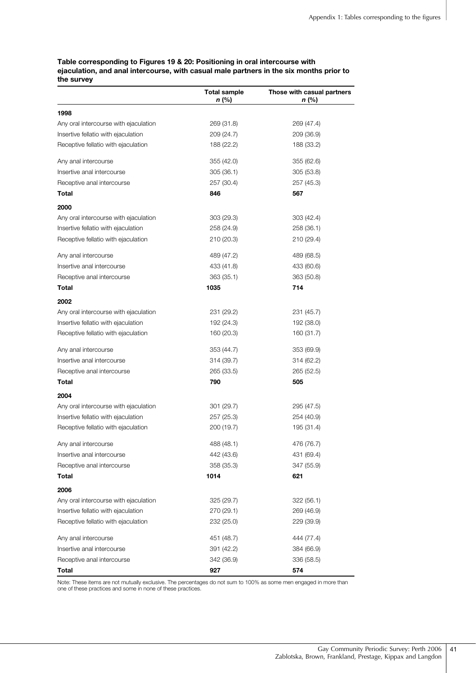#### **Table corresponding to Figures 19 & 20: Positioning in oral intercourse with ejaculation, and anal intercourse, with casual male partners in the six months prior to the survey**

|                                       | <b>Total sample</b><br>n (%) | Those with casual partners<br>n (%) |
|---------------------------------------|------------------------------|-------------------------------------|
| 1998                                  |                              |                                     |
| Any oral intercourse with ejaculation | 269 (31.8)                   | 269 (47.4)                          |
| Insertive fellatio with ejaculation   | 209 (24.7)                   | 209 (36.9)                          |
| Receptive fellatio with ejaculation   | 188 (22.2)                   | 188 (33.2)                          |
| Any anal intercourse                  | 355 (42.0)                   | 355 (62.6)                          |
| Insertive anal intercourse            | 305(36.1)                    | 305(53.8)                           |
| Receptive anal intercourse            | 257 (30.4)                   | 257 (45.3)                          |
| Total                                 | 846                          | 567                                 |
| 2000                                  |                              |                                     |
| Any oral intercourse with ejaculation | 303 (29.3)                   | 303 (42.4)                          |
| Insertive fellatio with ejaculation   | 258 (24.9)                   | 258 (36.1)                          |
| Receptive fellatio with ejaculation   | 210 (20.3)                   | 210 (29.4)                          |
| Any anal intercourse                  | 489 (47.2)                   | 489 (68.5)                          |
| Insertive anal intercourse            | 433 (41.8)                   | 433 (60.6)                          |
| Receptive anal intercourse            | 363 (35.1)                   | 363 (50.8)                          |
| Total                                 | 1035                         | 714                                 |
| 2002                                  |                              |                                     |
| Any oral intercourse with ejaculation | 231 (29.2)                   | 231 (45.7)                          |
| Insertive fellatio with ejaculation   | 192 (24.3)                   | 192 (38.0)                          |
| Receptive fellatio with ejaculation   | 160 (20.3)                   | 160 (31.7)                          |
| Any anal intercourse                  | 353 (44.7)                   | 353 (69.9)                          |
| Insertive anal intercourse            | 314 (39.7)                   | 314 (62.2)                          |
| Receptive anal intercourse            | 265 (33.5)                   | 265 (52.5)                          |
| Total                                 | 790                          | 505                                 |
| 2004                                  |                              |                                     |
| Any oral intercourse with ejaculation | 301 (29.7)                   | 295 (47.5)                          |
| Insertive fellatio with ejaculation   | 257 (25.3)                   | 254 (40.9)                          |
| Receptive fellatio with ejaculation   | 200 (19.7)                   | 195 (31.4)                          |
| Anv anal intercourse                  | 488 (48.1)                   | 476 (76.7)                          |
| Insertive anal intercourse            | 442 (43.6)                   | 431 (69.4)                          |
| Receptive anal intercourse            | 358 (35.3)                   | 347 (55.9)                          |
| Total                                 | 1014                         | 621                                 |
| 2006                                  |                              |                                     |
| Any oral intercourse with ejaculation | 325 (29.7)                   | 322 (56.1)                          |
| Insertive fellatio with ejaculation   | 270 (29.1)                   | 269 (46.9)                          |
| Receptive fellatio with ejaculation   | 232 (25.0)                   | 229 (39.9)                          |
| Any anal intercourse                  | 451 (48.7)                   | 444 (77.4)                          |
| Insertive anal intercourse            | 391 (42.2)                   | 384 (66.9)                          |
| Receptive anal intercourse            | 342 (36.9)                   | 336 (58.5)                          |
| <b>Total</b>                          | 927                          | 574                                 |

Note: These items are not mutually exclusive. The percentages do not sum to 100% as some men engaged in more than one of these practices and some in none of these practices.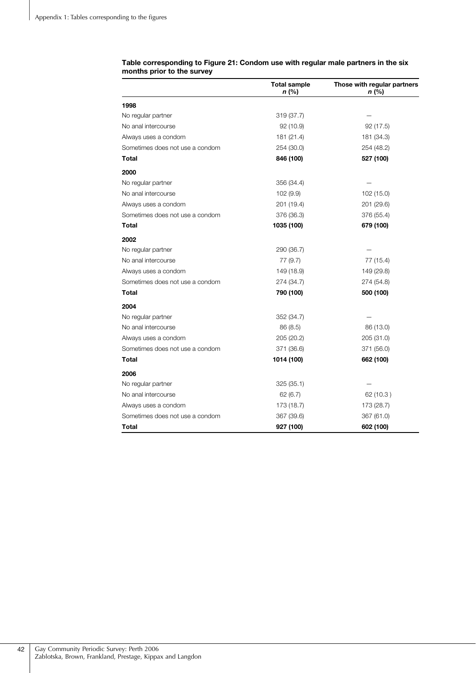|                                 | <b>Total sample</b><br>n (%) | Those with regular partners<br>n (%) |
|---------------------------------|------------------------------|--------------------------------------|
| 1998                            |                              |                                      |
| No regular partner              | 319 (37.7)                   |                                      |
| No anal intercourse             | 92 (10.9)                    | 92 (17.5)                            |
| Always uses a condom            | 181 (21.4)                   | 181 (34.3)                           |
| Sometimes does not use a condom | 254 (30.0)                   | 254 (48.2)                           |
| <b>Total</b>                    | 846 (100)                    | 527 (100)                            |
| 2000                            |                              |                                      |
| No regular partner              | 356 (34.4)                   |                                      |
| No anal intercourse             | 102 (9.9)                    | 102 (15.0)                           |
| Always uses a condom            | 201 (19.4)                   | 201 (29.6)                           |
| Sometimes does not use a condom | 376 (36.3)                   | 376 (55.4)                           |
| Total                           | 1035 (100)                   | 679 (100)                            |
| 2002                            |                              |                                      |
| No regular partner              | 290 (36.7)                   |                                      |
| No anal intercourse             | 77 (9.7)                     | 77 (15.4)                            |
| Always uses a condom            | 149 (18.9)                   | 149 (29.8)                           |
| Sometimes does not use a condom | 274 (34.7)                   | 274 (54.8)                           |
| Total                           | 790 (100)                    | 500 (100)                            |
| 2004                            |                              |                                      |
| No regular partner              | 352 (34.7)                   |                                      |
| No anal intercourse             | 86(8.5)                      | 86 (13.0)                            |
| Always uses a condom            | 205 (20.2)                   | 205 (31.0)                           |
| Sometimes does not use a condom | 371 (36.6)                   | 371 (56.0)                           |
| Total                           | 1014 (100)                   | 662 (100)                            |
| 2006                            |                              |                                      |
| No regular partner              | 325 (35.1)                   |                                      |
| No anal intercourse             | 62(6.7)                      | 62 (10.3)                            |
| Always uses a condom            | 173 (18.7)                   | 173 (28.7)                           |
| Sometimes does not use a condom | 367 (39.6)                   | 367 (61.0)                           |
| Total                           | 927 (100)                    | 602 (100)                            |

#### **Table corresponding to Figure 21: Condom use with regular male partners in the six months prior to the survey**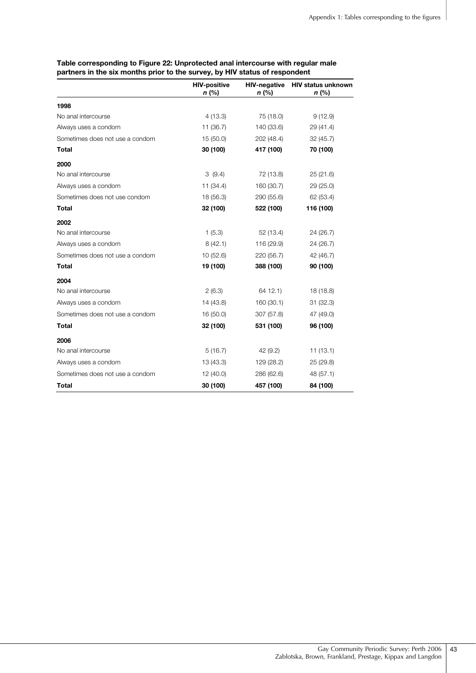|                                 | <b>HIV-positive</b><br>n (%) | <b>HIV-negative</b><br>n (%) | <b>HIV status unknown</b><br>n (%) |
|---------------------------------|------------------------------|------------------------------|------------------------------------|
| 1998                            |                              |                              |                                    |
| No anal intercourse             | 4(13.3)                      | 75 (18.0)                    | 9(12.9)                            |
| Always uses a condom            | 11 (36.7)                    | 140 (33.6)                   | 29 (41.4)                          |
| Sometimes does not use a condom | 15(50.0)                     | 202 (48.4)                   | 32(45.7)                           |
| <b>Total</b>                    | 30 (100)                     | 417 (100)                    | 70 (100)                           |
| 2000                            |                              |                              |                                    |
| No anal intercourse             | 3(9.4)                       | 72 (13.8)                    | 25(21.6)                           |
| Always uses a condom            | 11(34.4)                     | 160 (30.7)                   | 29 (25.0)                          |
| Sometimes does not use condom   | 18 (56.3)                    | 290 (55.6)                   | 62 (53.4)                          |
| <b>Total</b>                    | 32 (100)                     | 522 (100)                    | 116 (100)                          |
| 2002                            |                              |                              |                                    |
| No anal intercourse             | 1(5.3)                       | 52 (13.4)                    | 24 (26.7)                          |
| Always uses a condom            | 8(42.1)                      | 116 (29.9)                   | 24 (26.7)                          |
| Sometimes does not use a condom | 10(52.6)                     | 220 (56.7)                   | 42 (46.7)                          |
| <b>Total</b>                    | 19 (100)                     | 388 (100)                    | 90 (100)                           |
| 2004                            |                              |                              |                                    |
| No anal intercourse             | 2(6.3)                       | 64 12.1)                     | 18 (18.8)                          |
| Always uses a condom            | 14 (43.8)                    | 160 (30.1)                   | 31(32.3)                           |
| Sometimes does not use a condom | 16(50.0)                     | 307 (57.8)                   | 47 (49.0)                          |
| <b>Total</b>                    | 32 (100)                     | 531 (100)                    | 96 (100)                           |
| 2006                            |                              |                              |                                    |
| No anal intercourse             | 5(16.7)                      | 42 (9.2)                     | 11(13.1)                           |
| Always uses a condom            | 13(43.3)                     | 129 (28.2)                   | 25 (29.8)                          |
| Sometimes does not use a condom | 12(40.0)                     | 286 (62.6)                   | 48 (57.1)                          |
| Total                           | 30 (100)                     | 457 (100)                    | 84 (100)                           |

**Table corresponding to Figure 22: Unprotected anal intercourse with regular male partners in the six months prior to the survey, by HIV status of respondent**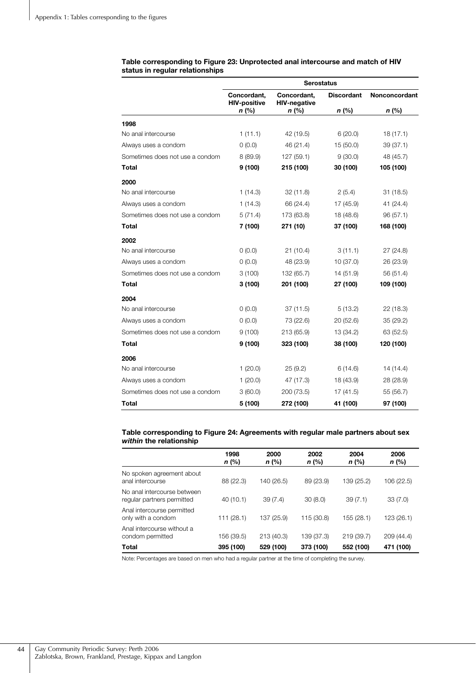|                                 | <b>Serostatus</b>                  |                                    |                   |               |  |
|---------------------------------|------------------------------------|------------------------------------|-------------------|---------------|--|
|                                 | Concordant,<br><b>HIV-positive</b> | Concordant,<br><b>HIV-negative</b> | <b>Discordant</b> | Nonconcordant |  |
|                                 | $n$ (%)                            | $n$ (%)                            | $n$ (%)           | $n$ (%)       |  |
| 1998                            |                                    |                                    |                   |               |  |
| No anal intercourse             | 1(11.1)                            | 42 (19.5)                          | 6(20.0)           | 18(17.1)      |  |
| Always uses a condom            | 0(0.0)                             | 46 (21.4)                          | 15(50.0)          | 39(37.1)      |  |
| Sometimes does not use a condom | 8 (89.9)                           | 127 (59.1)                         | 9(30.0)           | 48 (45.7)     |  |
| Total                           | 9(100)                             | 215 (100)                          | 30 (100)          | 105 (100)     |  |
| 2000                            |                                    |                                    |                   |               |  |
| No anal intercourse             | 1(14.3)                            | 32(11.8)                           | 2(5.4)            | 31(18.5)      |  |
| Always uses a condom            | 1(14.3)                            | 66 (24.4)                          | 17 (45.9)         | 41(24.4)      |  |
| Sometimes does not use a condom | 5(71.4)                            | 173 (63.8)                         | 18 (48.6)         | 96(57.1)      |  |
| Total                           | 7 (100)                            | 271 (10)                           | 37 (100)          | 168 (100)     |  |
| 2002                            |                                    |                                    |                   |               |  |
| No anal intercourse             | 0(0.0)                             | 21(10.4)                           | 3(11.1)           | 27 (24.8)     |  |
| Always uses a condom            | (0.0)                              | 48 (23.9)                          | 10(37.0)          | 26 (23.9)     |  |
| Sometimes does not use a condom | 3(100)                             | 132 (65.7)                         | 14 (51.9)         | 56 (51.4)     |  |
| Total                           | 3(100)                             | 201 (100)                          | 27 (100)          | 109 (100)     |  |
| 2004                            |                                    |                                    |                   |               |  |
| No anal intercourse             | (0.0)                              | 37(11.5)                           | 5(13.2)           | 22 (18.3)     |  |
| Always uses a condom            | 0(0.0)                             | 73 (22.6)                          | 20(52.6)          | 35(29.2)      |  |
| Sometimes does not use a condom | 9(100)                             | 213 (65.9)                         | 13 (34.2)         | 63 (52.5)     |  |
| Total                           | 9(100)                             | 323 (100)                          | 38 (100)          | 120 (100)     |  |
| 2006                            |                                    |                                    |                   |               |  |
| No anal intercourse             | 1(20.0)                            | 25(9.2)                            | 6(14.6)           | 14 (14.4)     |  |
| Always uses a condom            | 1(20.0)                            | 47 (17.3)                          | 18 (43.9)         | 28 (28.9)     |  |
| Sometimes does not use a condom | 3(60.0)                            | 200 (73.5)                         | 17(41.5)          | 55 (56.7)     |  |
| Total                           | 5 (100)                            | 272 (100)                          | 41 (100)          | 97 (100)      |  |

**Table corresponding to Figure 23: Unprotected anal intercourse and match of HIV status in regular relationships** 

#### **Table corresponding to Figure 24: Agreements with regular male partners about sex**  *within* **the relationship**

|                                                           | 1998<br>$n$ (%) | 2000<br>n (%) | 2002<br>n (%) | 2004<br>n (%) | 2006<br>n (%) |
|-----------------------------------------------------------|-----------------|---------------|---------------|---------------|---------------|
| No spoken agreement about<br>anal intercourse             | 88 (22.3)       | 140 (26.5)    | 89 (23.9)     | 139 (25.2)    | 106 (22.5)    |
| No anal intercourse between<br>regular partners permitted | 40(10.1)        | 39(7.4)       | 30(8.0)       | 39(7.1)       | 33(7.0)       |
| Anal intercourse permitted<br>only with a condom          | 111 (28.1)      | 137 (25.9)    | 115 (30.8)    | 155 (28.1)    | 123 (26.1)    |
| Anal intercourse without a<br>condom permitted            | 156 (39.5)      | 213 (40.3)    | 139 (37.3)    | 219 (39.7)    | 209 (44.4)    |
| <b>Total</b>                                              | 395 (100)       | 529 (100)     | 373 (100)     | 552 (100)     | 471 (100)     |

Note: Percentages are based on men who had a regular partner at the time of completing the survey.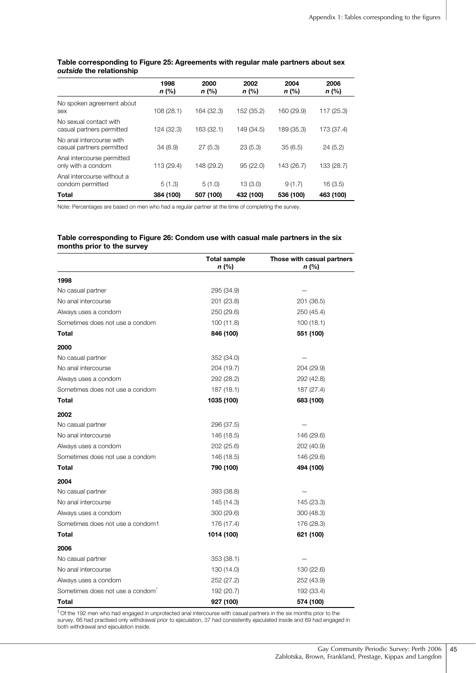|                                                       | 1998<br>$n$ (%) | 2000<br>$n$ (%) | 2002<br>n (%) | 2004<br>$n$ (%) | 2006<br>n (%) |
|-------------------------------------------------------|-----------------|-----------------|---------------|-----------------|---------------|
| No spoken agreement about<br>sex                      | 108(28.1)       | 164 (32.3)      | 152 (35.2)    | 160 (29.9)      | 117 (25.3)    |
| No sexual contact with<br>casual partners permitted   | 124 (32.3)      | 163 (32.1)      | 149 (34.5)    | 189 (35.3)      | 173 (37.4)    |
| No anal intercourse with<br>casual partners permitted | 34(8.9)         | 27(5.3)         | 23(5.3)       | 35(6.5)         | 24(5.2)       |
| Anal intercourse permitted<br>only with a condom      | 113 (29.4)      | 148 (29.2)      | 95(22.0)      | 143 (26.7)      | 133 (28.7)    |
| Anal intercourse without a<br>condom permitted        | 5(1.3)          | 5(1.0)          | 13(3.0)       | 9(1.7)          | 16(3.5)       |
| <b>Total</b>                                          | 384 (100)       | 507 (100)       | 432 (100)     | 536 (100)       | 463 (100)     |

#### **Table corresponding to Figure 25: Agreements with regular male partners about sex**  *outside* **the relationship**

Note: Percentages are based on men who had a regular partner at the time of completing the survey.

#### **Table corresponding to Figure 26: Condom use with casual male partners in the six months prior to the survey**

|                                  | <b>Total sample</b><br>n (%) | Those with casual partners<br>n (%) |
|----------------------------------|------------------------------|-------------------------------------|
| 1998                             |                              |                                     |
| No casual partner                | 295 (34.9)                   |                                     |
| No anal intercourse              | 201 (23.8)                   | 201 (36.5)                          |
| Always uses a condom             | 250 (29.6)                   | 250 (45.4)                          |
| Sometimes does not use a condom  | 100(11.8)                    | 100(18.1)                           |
| Total                            | 846 (100)                    | 551 (100)                           |
| 2000                             |                              |                                     |
| No casual partner                | 352 (34.0)                   |                                     |
| No anal intercourse              | 204 (19.7)                   | 204 (29.9)                          |
| Always uses a condom             | 292 (28.2)                   | 292 (42.8)                          |
| Sometimes does not use a condom  | 187 (18.1)                   | 187 (27.4)                          |
| Total                            | 1035 (100)                   | 683 (100)                           |
| 2002                             |                              |                                     |
| No casual partner                | 296 (37.5)                   |                                     |
| No anal intercourse              | 146 (18.5)                   | 146 (29.6)                          |
| Always uses a condom             | 202 (25.6)                   | 202 (40.9)                          |
| Sometimes does not use a condom  | 146 (18.5)                   | 146 (29.6)                          |
| Total                            | 790 (100)                    | 494 (100)                           |
| 2004                             |                              |                                     |
| No casual partner                | 393 (38.8)                   |                                     |
| No anal intercourse              | 145 (14.3)                   | 145 (23.3)                          |
| Always uses a condom             | 300 (29.6)                   | 300 (48.3)                          |
| Sometimes does not use a condom1 | 176 (17.4)                   | 176 (28.3)                          |
| Total                            | 1014 (100)                   | 621 (100)                           |
| 2006                             |                              |                                     |
| No casual partner                | 353 (38.1)                   |                                     |
| No anal intercourse              | 130 (14.0)                   | 130 (22.6)                          |
| Always uses a condom             | 252 (27.2)                   | 252 (43.9)                          |
| Sometimes does not use a condom  | 192 (20.7)                   | 192 (33.4)                          |
| Total                            | 927 (100)                    | 574 (100)                           |

<sup>1</sup> Of the 192 men who had engaged in unprotected anal intercourse with casual partners in the six months prior to the survey, 66 had practised only withdrawal prior to ejaculation, 37 had consistently ejaculated inside and 89 had engaged in both withdrawal and ejaculation inside.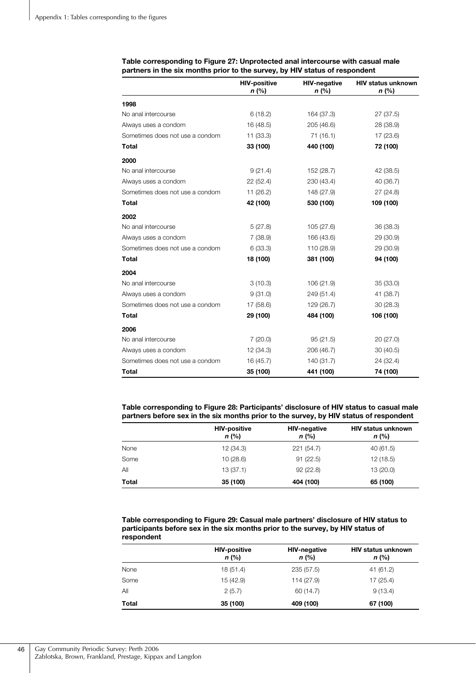|                                 | <b>HIV-positive</b><br>n (%) | <b>HIV-negative</b><br>n (%) | <b>HIV status unknown</b><br>$n$ (%) |
|---------------------------------|------------------------------|------------------------------|--------------------------------------|
| 1998                            |                              |                              |                                      |
| No anal intercourse             | 6(18.2)                      | 164 (37.3)                   | 27 (37.5)                            |
| Always uses a condom            | 16 (48.5)                    | 205 (46.6)                   | 28 (38.9)                            |
| Sometimes does not use a condom | 11 (33.3)                    | 71 (16.1)                    | 17 (23.6)                            |
| <b>Total</b>                    | 33 (100)                     | 440 (100)                    | 72 (100)                             |
| 2000                            |                              |                              |                                      |
| No anal intercourse             | 9(21.4)                      | 152 (28.7)                   | 42 (38.5)                            |
| Always uses a condom            | 22(52.4)                     | 230 (43.4)                   | 40 (36.7)                            |
| Sometimes does not use a condom | 11 (26.2)                    | 148 (27.9)                   | 27(24.8)                             |
| <b>Total</b>                    | 42 (100)                     | 530 (100)                    | 109 (100)                            |
| 2002                            |                              |                              |                                      |
| No anal intercourse             | 5(27.8)                      | 105 (27.6)                   | 36 (38.3)                            |
| Always uses a condom            | 7(38.9)                      | 166 (43.6)                   | 29 (30.9)                            |
| Sometimes does not use a condom | 6(33.3)                      | 110 (28.9)                   | 29 (30.9)                            |
| <b>Total</b>                    | 18 (100)                     | 381 (100)                    | 94 (100)                             |
| 2004                            |                              |                              |                                      |
| No anal intercourse             | 3(10.3)                      | 106 (21.9)                   | 35 (33.0)                            |
| Always uses a condom            | 9(31.0)                      | 249 (51.4)                   | 41 (38.7)                            |
| Sometimes does not use a condom | 17 (58.6)                    | 129 (26.7)                   | 30 (28.3)                            |
| <b>Total</b>                    | 29 (100)                     | 484 (100)                    | 106 (100)                            |
| 2006                            |                              |                              |                                      |
| No anal intercourse             | 7(20.0)                      | 95(21.5)                     | 20 (27.0)                            |
| Always uses a condom            | 12 (34.3)                    | 206 (46.7)                   | 30(40.5)                             |
| Sometimes does not use a condom | 16 (45.7)                    | 140 (31.7)                   | 24 (32.4)                            |
| <b>Total</b>                    | 35 (100)                     | 441 (100)                    | 74 (100)                             |

#### **Table corresponding to Figure 27: Unprotected anal intercourse with casual male partners in the six months prior to the survey, by HIV status of respondent**

**Table corresponding to Figure 28: Participants' disclosure of HIV status to casual male partners before sex in the six months prior to the survey, by HIV status of respondent** 

|       | <b>HIV-positive</b><br>$n$ (%) | <b>HIV-negative</b><br>$n$ (%) | <b>HIV status unknown</b><br>$n$ (%) |
|-------|--------------------------------|--------------------------------|--------------------------------------|
| None  | 12 (34.3)                      | 221(54.7)                      | 40(61.5)                             |
| Some  | 10(28.6)                       | 91(22.5)                       | 12 (18.5)                            |
| All   | 13(37.1)                       | 92(22.8)                       | 13 (20.0)                            |
| Total | 35 (100)                       | 404 (100)                      | 65 (100)                             |

**Table corresponding to Figure 29: Casual male partners' disclosure of HIV status to participants before sex in the six months prior to the survey, by HIV status of respondent**

|       | <b>HIV-positive</b><br>$n$ (%) | <b>HIV-negative</b><br>$n$ (%) | <b>HIV status unknown</b><br>$n$ (%) |
|-------|--------------------------------|--------------------------------|--------------------------------------|
| None  | 18(51.4)                       | 235 (57.5)                     | 41 (61.2)                            |
| Some  | 15 (42.9)                      | 114 (27.9)                     | 17(25.4)                             |
| All   | 2(5.7)                         | 60 (14.7)                      | 9(13.4)                              |
| Total | 35 (100)                       | 409 (100)                      | 67 (100)                             |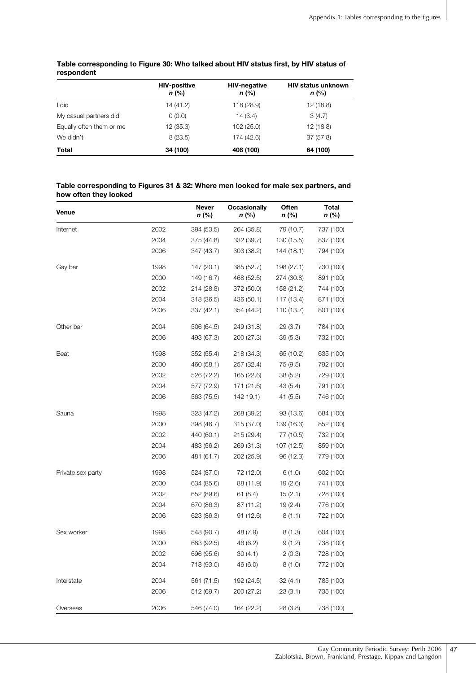|                          | <b>HIV-positive</b><br>n (%) | <b>HIV-negative</b><br>$n$ (%) | <b>HIV status unknown</b><br>$n$ (%) |
|--------------------------|------------------------------|--------------------------------|--------------------------------------|
| did                      | 14 (41.2)                    | 118 (28.9)                     | 12(18.8)                             |
| My casual partners did   | 0(0.0)                       | 14(3.4)                        | 3(4.7)                               |
| Equally often them or me | 12 (35.3)                    | 102 (25.0)                     | 12(18.8)                             |
| We didn't                | 8(23.5)                      | 174 (42.6)                     | 37(57.8)                             |
| Total                    | 34 (100)                     | 408 (100)                      | 64 (100)                             |

#### **Table corresponding to Figure 30: Who talked about HIV status first, by HIV status of respondent**

#### **Table corresponding to Figures 31 & 32: Where men looked for male sex partners, and how often they looked**

| Venue             |      | <b>Never</b><br>n (%) | <b>Occasionally</b><br>n (%) | Often<br>n (%) | Total<br>n (%) |
|-------------------|------|-----------------------|------------------------------|----------------|----------------|
| Internet          | 2002 | 394 (53.5)            | 264 (35.8)                   | 79 (10.7)      | 737 (100)      |
|                   | 2004 | 375 (44.8)            | 332 (39.7)                   | 130 (15.5)     | 837 (100)      |
|                   | 2006 | 347 (43.7)            | 303 (38.2)                   | 144 (18.1)     | 794 (100)      |
| Gay bar           | 1998 | 147 (20.1)            | 385 (52.7)                   | 198 (27.1)     | 730 (100)      |
|                   | 2000 | 149 (16.7)            | 468 (52.5)                   | 274 (30.8)     | 891 (100)      |
|                   | 2002 | 214 (28.8)            | 372 (50.0)                   | 158 (21.2)     | 744 (100)      |
|                   | 2004 | 318 (36.5)            | 436 (50.1)                   | 117 (13.4)     | 871 (100)      |
|                   | 2006 | 337 (42.1)            | 354 (44.2)                   | 110 (13.7)     | 801 (100)      |
| Other bar         | 2004 | 506 (64.5)            | 249 (31.8)                   | 29 (3.7)       | 784 (100)      |
|                   | 2006 | 493 (67.3)            | 200 (27.3)                   | 39(5.3)        | 732 (100)      |
| Beat              | 1998 | 352 (55.4)            | 218 (34.3)                   | 65 (10.2)      | 635 (100)      |
|                   | 2000 | 460 (58.1)            | 257 (32.4)                   | 75 (9.5)       | 792 (100)      |
|                   | 2002 | 526 (72.2)            | 165 (22.6)                   | 38 (5.2)       | 729 (100)      |
|                   | 2004 | 577 (72.9)            | 171 (21.6)                   | 43 (5.4)       | 791 (100)      |
|                   | 2006 | 563 (75.5)            | 142 19.1)                    | 41 (5.5)       | 746 (100)      |
| Sauna             | 1998 | 323 (47.2)            | 268 (39.2)                   | 93 (13.6)      | 684 (100)      |
|                   | 2000 | 398 (46.7)            | 315 (37.0)                   | 139 (16.3)     | 852 (100)      |
|                   | 2002 | 440 (60.1)            | 215 (29.4)                   | 77 (10.5)      | 732 (100)      |
|                   | 2004 | 483 (56.2)            | 269 (31.3)                   | 107 (12.5)     | 859 (100)      |
|                   | 2006 | 481 (61.7)            | 202 (25.9)                   | 96 (12.3)      | 779 (100)      |
| Private sex party | 1998 | 524 (87.0)            | 72 (12.0)                    | 6(1.0)         | 602 (100)      |
|                   | 2000 | 634 (85.6)            | 88 (11.9)                    | 19 (2.6)       | 741 (100)      |
|                   | 2002 | 652 (89.6)            | 61 (8.4)                     | 15(2.1)        | 728 (100)      |
|                   | 2004 | 670 (86.3)            | 87 (11.2)                    | 19(2.4)        | 776 (100)      |
|                   | 2006 | 623 (86.3)            | 91 (12.6)                    | 8(1.1)         | 722 (100)      |
| Sex worker        | 1998 | 548 (90.7)            | 48 (7.9)                     | 8(1.3)         | 604 (100)      |
|                   | 2000 | 683 (92.5)            | 46 (6.2)                     | 9(1.2)         | 738 (100)      |
|                   | 2002 | 696 (95.6)            | 30(4.1)                      | 2(0.3)         | 728 (100)      |
|                   | 2004 | 718 (93.0)            | 46 (6.0)                     | 8(1.0)         | 772 (100)      |
| Interstate        | 2004 | 561 (71.5)            | 192 (24.5)                   | 32 (4.1)       | 785 (100)      |
|                   | 2006 | 512 (69.7)            | 200 (27.2)                   | 23(3.1)        | 735 (100)      |
| Overseas          | 2006 | 546 (74.0)            | 164 (22.2)                   | 28 (3.8)       | 738 (100)      |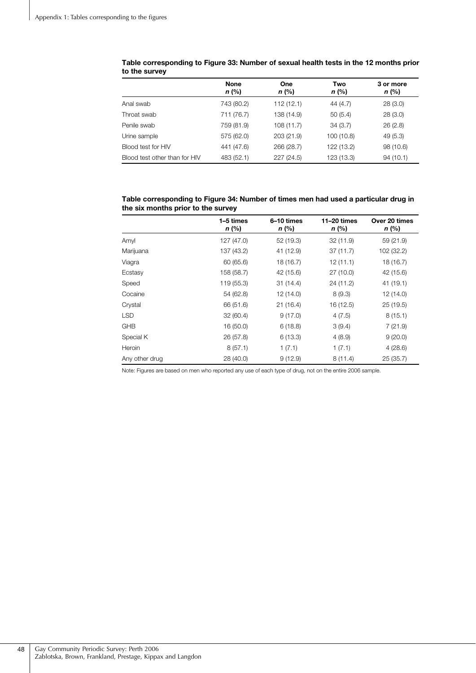|                               | <b>None</b><br>$n$ (%) | <b>One</b><br>$n$ (%) | Two<br>$n$ (%) | 3 or more<br>n (%) |
|-------------------------------|------------------------|-----------------------|----------------|--------------------|
| Anal swab                     | 743 (80.2)             | 112(12.1)             | 44 (4.7)       | 28(3.0)            |
| Throat swab                   | 711 (76.7)             | 138 (14.9)            | 50(5.4)        | 28(3.0)            |
| Penile swab                   | 759 (81.9)             | 108(11.7)             | 34(3.7)        | 26(2.8)            |
| Urine sample                  | 575 (62.0)             | 203 (21.9)            | 100 (10.8)     | 49(5.3)            |
| Blood test for HIV            | 441 (47.6)             | 266 (28.7)            | 122 (13.2)     | 98 (10.6)          |
| Blood test other than for HIV | 483 (52.1)             | 227 (24.5)            | 123 (13.3)     | 94(10.1)           |

#### **Table corresponding to Figure 33: Number of sexual health tests in the 12 months prior to the survey**

#### **Table corresponding to Figure 34: Number of times men had used a particular drug in the six months prior to the survey**

|                | 1–5 times<br>n (%) | 6-10 times<br>n (%) | $11-20$ times<br>$n$ (%) | Over 20 times<br>n (%) |
|----------------|--------------------|---------------------|--------------------------|------------------------|
| Amyl           | 127 (47.0)         | 52 (19.3)           | 32 (11.9)                | 59 (21.9)              |
| Marijuana      | 137 (43.2)         | 41 (12.9)           | 37(11.7)                 | 102 (32.2)             |
| Viagra         | 60 (65.6)          | 18 (16.7)           | 12(11.1)                 | 18 (16.7)              |
| Ecstasy        | 158 (58.7)         | 42 (15.6)           | 27(10.0)                 | 42 (15.6)              |
| Speed          | 119 (55.3)         | 31(14.4)            | 24 (11.2)                | 41 (19.1)              |
| Cocaine        | 54 (62.8)          | 12 (14.0)           | 8(9.3)                   | 12 (14.0)              |
| Crystal        | 66 (51.6)          | 21(16.4)            | 16 (12.5)                | 25(19.5)               |
| <b>LSD</b>     | 32 (60.4)          | 9(17.0)             | 4(7.5)                   | 8(15.1)                |
| <b>GHB</b>     | 16 (50.0)          | 6(18.8)             | 3(9.4)                   | 7(21.9)                |
| Special K      | 26 (57.8)          | 6(13.3)             | 4(8.9)                   | 9(20.0)                |
| Heroin         | 8(57.1)            | 1(7.1)              | 1(7.1)                   | 4(28.6)                |
| Any other drug | 28 (40.0)          | 9(12.9)             | 8(11.4)                  | 25(35.7)               |

Note: Figures are based on men who reported any use of each type of drug, not on the entire 2006 sample.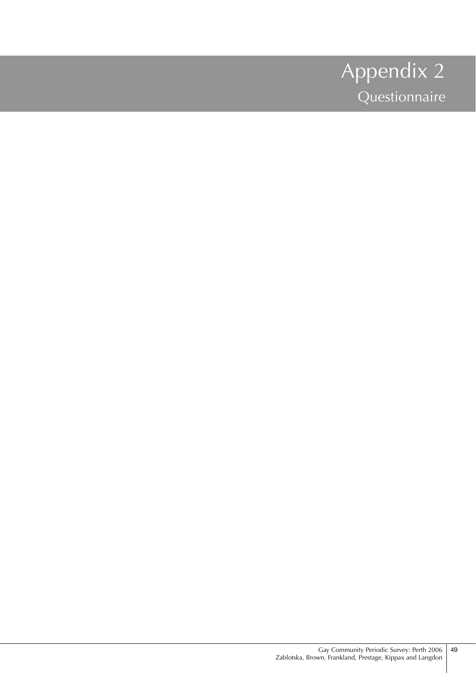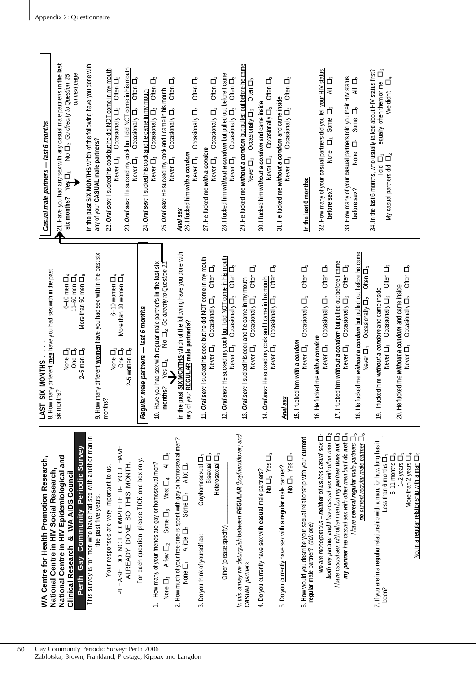|                                                           | WA Centre for Health Promotion Research,                                                                                                     | LAST SIX MONTHS                                                                                                                               | Casual male partners - last 6 months                                                                                                                                                                                 |
|-----------------------------------------------------------|----------------------------------------------------------------------------------------------------------------------------------------------|-----------------------------------------------------------------------------------------------------------------------------------------------|----------------------------------------------------------------------------------------------------------------------------------------------------------------------------------------------------------------------|
|                                                           | National Centre in HIV Epidemiological and<br>National Centre in HIV Social Research                                                         | 8. How many different <u>men</u> have you had sex with in the past<br>six months?<br>$6-10$ men $\Box_4$<br>None D <sub>1</sub>               | 21. Have you had any sex with any casual male partner/s in the last<br>No D <sub>2</sub> Go directly to Question. 35<br>six months? Yes <sub>[1</sub>                                                                |
|                                                           | Perth Gay Community Periodic Survey<br>Clinical Research & WA AIDS Council                                                                   | $11-50$ men $\Box_5$<br>More than 50 men D <sub>6</sub><br>One $\Box_2$<br>$2-5$ men $\Box_3$                                                 | on next page                                                                                                                                                                                                         |
|                                                           | This survey is for men who have had sex with another man in                                                                                  |                                                                                                                                               | In the past SIX MONTHS which of the following have you done with                                                                                                                                                     |
|                                                           | the past five years.                                                                                                                         | 9. How many different women have you had sex with in the past six<br>months?                                                                  | any of your <b>CASUAL</b> male partners?                                                                                                                                                                             |
| Gay Community Periodic Survey: Perth 2006                 | PLEASE DO NOT COMPLETE IF YOU HAVE<br>Your responses are very important to us.                                                               | More than 10 women $\Box_5$<br>$6-10$ women $\Box_4$<br>None $\overline{\square}$ ,<br>One $\overline{\square}$ <sub>2</sub>                  | 22. Oral sex: I sucked his cock but he did NOT come in my mouth<br>Often $\Box_3$<br>Occasionally $\Box_2$<br>Never D <sub>1</sub>                                                                                   |
|                                                           | ALREADY DONE SO THIS MONTH.                                                                                                                  | $2-5$ women $\Box_3$                                                                                                                          | 23. Oral sex: He sucked my cock but I did NOT come in his mouth<br>Occasionally $\Box_2$ Often $\Box_3$<br>Never D <sub>1</sub>                                                                                      |
|                                                           | For each question, please TICK one box only.                                                                                                 | Regular male partners - last 6 months                                                                                                         | 24. Oral sex: I sucked his cock and he came in my mouth                                                                                                                                                              |
|                                                           | All $\Box_5$<br>1. How many of your friends are gay or homosexual men?<br>Most $\Box_4$<br>A few $\Box_2$ Some $\Box_3$<br>None $\Box_1$     | 10. Have you had sex with regular male partner/s in the last six<br>No $\square_2$ Go directly to Question 21<br>YesI <sub>1</sub><br>months? | $\overline{O}$ ften $\Box_3$<br>Often $\Box_3$<br>25. Oral sex: He sucked my cock and I came in his mouth<br>Occasionally $\Box_2$<br>$\bar{O}$ ccasionally $\Box_2$<br>Never D <sub>1</sub><br>Never D <sub>1</sub> |
| Zablotska, Brown, Frankland, Prestage, Kippax and Langdon | 2. How much of your free time is spent with gay or homosexual men?<br>Some $\square_3$ A lot $\square_4$<br>None $\Box_1$ A little $\Box_2$  | in the past SIX MONTHS which of the following have you done with<br>any of your REGULAR male partner/s?                                       | Occasionally $\Box_2$<br>Anal sex<br>26. I fucked him with a condom                                                                                                                                                  |
|                                                           | Heterosexual $\Box_3$<br>Bisexual $\Box_2$<br>Gay/homosexual <sub>[-1</sub><br>3. Do you think of yourself as:                               | 1. Oral sex: I sucked his cock but he did NOT come in my mouth<br>Occasionally $\Box_2$ Often $\Box_3$<br>Never D <sub>1</sub>                | Often $\Box_3$<br>Often <sub>[3</sub><br>Occasionally $\Box_2$<br>27. He fucked me with a condom<br>Never $\Box_1$<br>Never $\Box_1$                                                                                 |
|                                                           | Other (please specify)                                                                                                                       | 2. Oral sex: He sucked my cock but I did NOT come in his mouth<br>Occasionally $\Box_2$ Often $\Box_3$<br>Never $\Box_1$                      | 28. I fucked him without a condom but pulled out before I came<br>Never $\Box_1$ Occasionally $\Box_2$ Often $\Box_3$                                                                                                |
|                                                           | In this survey we distinguish between REGULAR (boyfriend/lover) and<br>CASUAL partners.                                                      | Often <sub>D<sub>3</sub></sub><br>3. Oral sex: I sucked his cock and he came in my mouth<br>Occasionally $\Box_2$<br>Never D <sub>1</sub>     | 29. He fucked me without a condom but pulled out before he came<br>Often $\Box_3$<br>Occasionally $\Box_2$<br>Never $\Box_1$                                                                                         |
|                                                           | No $\Box_1$ Yes $\Box_2$<br>4. Do you currently have sex with casual male partners?                                                          | Often <sub>D<sub>3</sub></sub><br>4. Oral sex: He sucked my cock and I came in his mouth<br>Occasionally $\Box_2$<br>Never D <sub>1</sub>     | Often $\Box_3$<br>30. I fucked him without a condom and came inside<br>Occasionally $\Box_2$<br>Never $\Box_1$                                                                                                       |
|                                                           | No $\Pi_1$ Yes $\Pi_2$<br>5. Do you currently have sex with a regular male partner?                                                          | Anal sex                                                                                                                                      | Often $\Box_3$<br>31. He fucked me without a condom and came inside<br>Occasionally $\Box_2$<br>Never D <sub>1</sub>                                                                                                 |
|                                                           | 6. How would you describe your sexual relationship with your current<br>regular male partner? (tick one)                                     | Often $\Box_3$<br>Occasionally $\Box_2$<br>5. I fucked him with a condom<br>Never D <sub>1</sub>                                              | In the last 6 months:                                                                                                                                                                                                |
|                                                           | both my partner and I have casual sex with other men $\square_2$<br>we are monogamous - neither of us has casual sex D <sub>1</sub>          | Often $\Box_3$<br>Occasionally $\Box_2$<br>6. He fucked me with a condom<br>Never <sub>D1</sub>                                               | 32. How many of your casual partners did you tell your HIV status<br>$\frac{1}{4}$<br>Some $\Box_2$<br>None ロ <sub>r</sub><br>before sex?                                                                            |
|                                                           | I have casual sex with other men but my partner does not $\square_3$<br>my partner has casual sex with other men but I do not D <sub>4</sub> | 7. I fucked him without a condom but pulled out before I came<br>Often $\Box_3$<br>Occasionally $\Box_2$<br>Never $\Box_1$                    | 33. How many of your casual partners told you their HIV status                                                                                                                                                       |
|                                                           | asual sex with other nieur exercicies $\square_5$<br>Thave several regular male partners $\square_6$                                         | 8. He fucked me without a condom but pulled out before he came<br>Often $\Box_3$<br>Occasionally $\Box_2$<br>Never $\Box_1$                   | $\mathop{\mathbb{Z}}\limits_{\varnothing}$<br>$\vec{\Box}$<br>Some I<br>q<br>None<br>before sex?                                                                                                                     |
|                                                           | 7. If you are in a regular relationship with a man, for how long has it<br>$6-11$ months $\Box_2$<br>Less than 6 months $\Box$ ,<br>been?    | Often $\Box_3$<br>9. I fucked him without a condom and came inside<br>Occasionally $\Box_2$<br>Never $\Box_1$                                 | equally often them or me D <sub>3</sub><br>34. In the last 6 months, who usually talked about HIV status first?<br>₫<br>We didn't<br>$1$ did $\Box_1$<br>My casual partners did $\Box_2$                             |
|                                                           | $1-2$ years $\Box_3$<br>More than 2 years $\Box_4$                                                                                           | Often $\Box_3$<br>20. He fucked me without a condom and came inside<br>Occasionally $\Box_2$<br>Never D <sub>1</sub>                          |                                                                                                                                                                                                                      |
|                                                           | Not in a regular relationship with a man $\square_5$                                                                                         |                                                                                                                                               |                                                                                                                                                                                                                      |